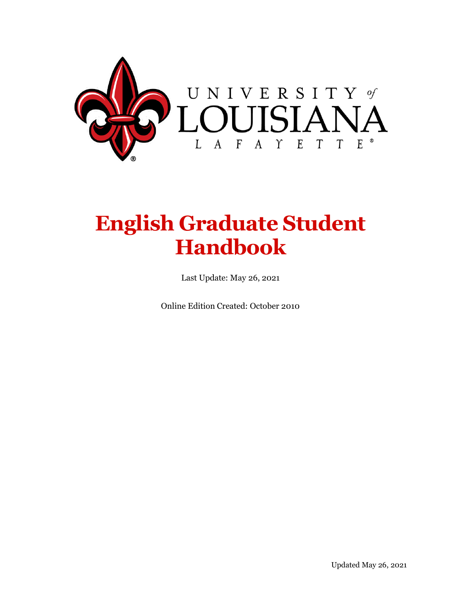

# **English Graduate Student Handbook**

Last Update: May 26, 2021

Online Edition Created: October 2010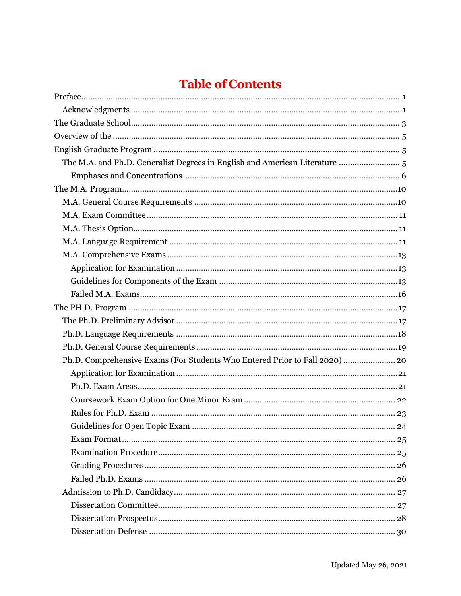# **Table of Contents**

| The M.A. and Ph.D. Generalist Degrees in English and American Literature  5 |  |
|-----------------------------------------------------------------------------|--|
|                                                                             |  |
|                                                                             |  |
|                                                                             |  |
|                                                                             |  |
|                                                                             |  |
|                                                                             |  |
|                                                                             |  |
|                                                                             |  |
|                                                                             |  |
|                                                                             |  |
|                                                                             |  |
|                                                                             |  |
|                                                                             |  |
|                                                                             |  |
| Ph.D. Comprehensive Exams (For Students Who Entered Prior to Fall 2020)  20 |  |
|                                                                             |  |
|                                                                             |  |
|                                                                             |  |
|                                                                             |  |
|                                                                             |  |
|                                                                             |  |
|                                                                             |  |
|                                                                             |  |
|                                                                             |  |
|                                                                             |  |
|                                                                             |  |
|                                                                             |  |
|                                                                             |  |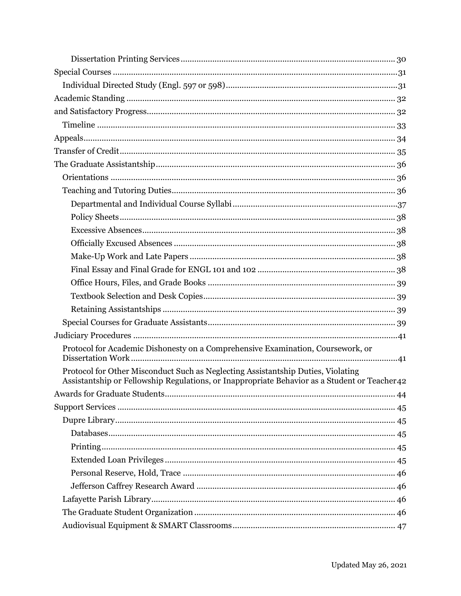| Protocol for Academic Dishonesty on a Comprehensive Examination, Coursework, or                                                                                                  |
|----------------------------------------------------------------------------------------------------------------------------------------------------------------------------------|
| Protocol for Other Misconduct Such as Neglecting Assistantship Duties, Violating<br>Assistantship or Fellowship Regulations, or Inappropriate Behavior as a Student or Teacher42 |
|                                                                                                                                                                                  |
|                                                                                                                                                                                  |
|                                                                                                                                                                                  |
|                                                                                                                                                                                  |
|                                                                                                                                                                                  |
|                                                                                                                                                                                  |
|                                                                                                                                                                                  |
|                                                                                                                                                                                  |
|                                                                                                                                                                                  |
|                                                                                                                                                                                  |
|                                                                                                                                                                                  |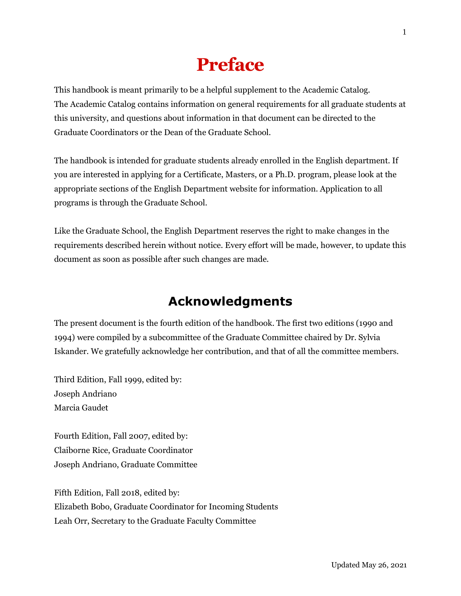# **Preface**

<span id="page-4-0"></span>This handbook is meant primarily to be a helpful supplement to the Academic Catalog. The Academic Catalog contains information on general requirements for all graduate students at this university, and questions about information in that document can be directed to the Graduate Coordinators or the Dean of the Graduate School.

The handbook is intended for graduate students already enrolled in the English department. If you are interested in applying for a Certificate, Masters, or a Ph.D. program, please look at the appropriate sections of the English Department website for information. Application to all programs is through the Graduate School.

Like the Graduate School, the English Department reserves the right to make changes in the requirements described herein without notice. Every effort will be made, however, to update this document as soon as possible after such changes are made.

## **Acknowledgments**

<span id="page-4-1"></span>The present document is the fourth edition of the handbook. The first two editions (1990 and 1994) were compiled by a subcommittee of the Graduate Committee chaired by Dr. Sylvia Iskander. We gratefully acknowledge her contribution, and that of all the committee members.

Third Edition, Fall 1999, edited by: Joseph Andriano Marcia Gaudet

Fourth Edition, Fall 2007, edited by: Claiborne Rice, Graduate Coordinator Joseph Andriano, Graduate Committee

Fifth Edition, Fall 2018, edited by: Elizabeth Bobo, Graduate Coordinator for Incoming Students Leah Orr, Secretary to the Graduate Faculty Committee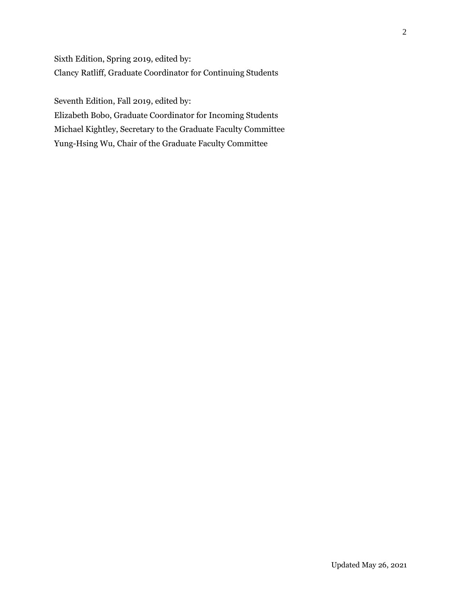Sixth Edition, Spring 2019, edited by: Clancy Ratliff, Graduate Coordinator for Continuing Students

Seventh Edition, Fall 2019, edited by: Elizabeth Bobo, Graduate Coordinator for Incoming Students

Michael Kightley, Secretary to the Graduate Faculty Committee Yung-Hsing Wu, Chair of the Graduate Faculty Committee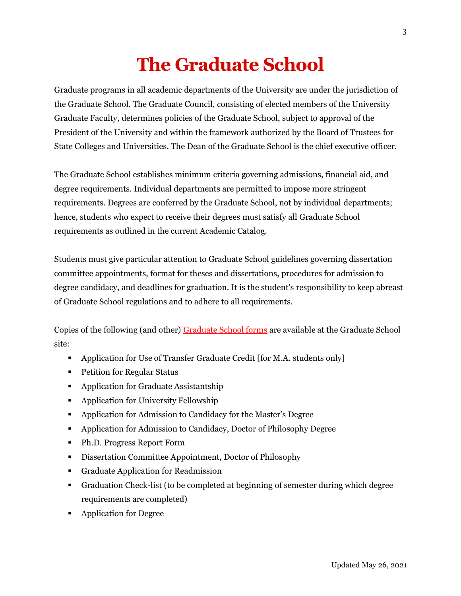# **The Graduate School**

<span id="page-6-0"></span>Graduate programs in all academic departments of the University are under the jurisdiction of the Graduate School. The Graduate Council, consisting of elected members of the University Graduate Faculty, determines policies of the Graduate School, subject to approval of the President of the University and within the framework authorized by the Board of Trustees for State Colleges and Universities. The Dean of the Graduate School is the chief executive officer.

The Graduate School establishes minimum criteria governing admissions, financial aid, and degree requirements. Individual departments are permitted to impose more stringent requirements. Degrees are conferred by the Graduate School, not by individual departments; hence, students who expect to receive their degrees must satisfy all Graduate School requirements as outlined in the current Academic Catalog.

Students must give particular attention to Graduate School guidelines governing dissertation committee appointments, format for theses and dissertations, procedures for admission to degree candidacy, and deadlines for graduation. It is the student's responsibility to keep abreast of Graduate School regulations and to adhere to all requirements.

Copies of the following (and other) [Graduate School forms](https://gradschool.louisiana.edu/node/22) are available at the Graduate School site:

- Application for Use of Transfer Graduate Credit [for M.A. students only]
- **•** Petition for Regular Status
- Application for Graduate Assistantship
- Application for University Fellowship
- Application for Admission to Candidacy for the Master's Degree
- Application for Admission to Candidacy, Doctor of Philosophy Degree
- Ph.D. Progress Report Form
- Dissertation Committee Appointment, Doctor of Philosophy
- Graduate Application for Readmission
- Graduation Check-list (to be completed at beginning of semester during which degree requirements are completed)
- Application for Degree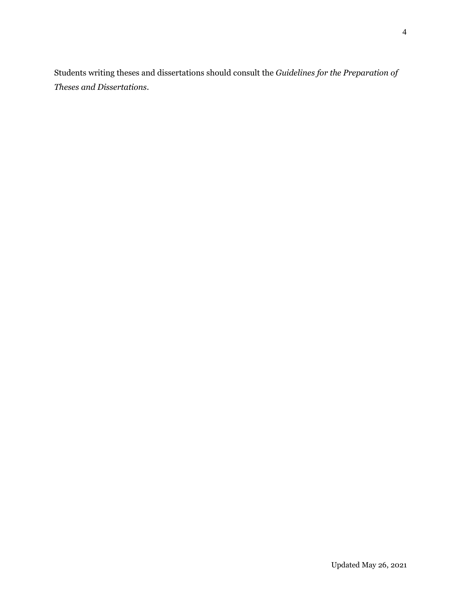Students writing theses and dissertations should consult the *Guidelines for the Preparation of Theses and Dissertations*.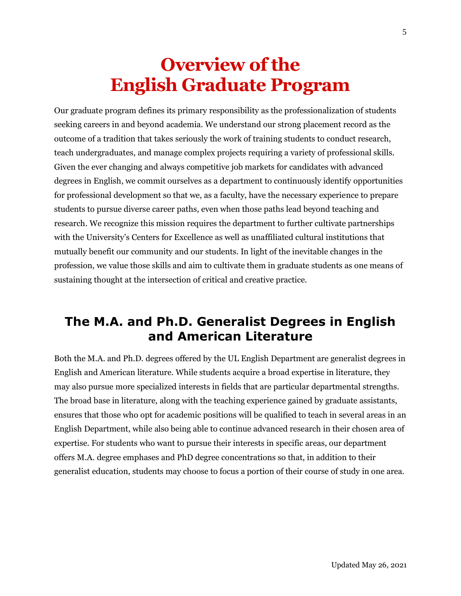# **Overview of the English Graduate Program**

<span id="page-8-1"></span><span id="page-8-0"></span>Our graduate program defines its primary responsibility as the professionalization of students seeking careers in and beyond academia. We understand our strong placement record as the outcome of a tradition that takes seriously the work of training students to conduct research, teach undergraduates, and manage complex projects requiring a variety of professional skills. Given the ever changing and always competitive job markets for candidates with advanced degrees in English, we commit ourselves as a department to continuously identify opportunities for professional development so that we, as a faculty, have the necessary experience to prepare students to pursue diverse career paths, even when those paths lead beyond teaching and research. We recognize this mission requires the department to further cultivate partnerships with the University's Centers for Excellence as well as unaffiliated cultural institutions that mutually benefit our community and our students. In light of the inevitable changes in the profession, we value those skills and aim to cultivate them in graduate students as one means of sustaining thought at the intersection of critical and creative practice.

## <span id="page-8-2"></span>**The M.A. and Ph.D. Generalist Degrees in English and American Literature**

Both the M.A. and Ph.D. degrees offered by the UL English Department are generalist degrees in English and American literature. While students acquire a broad expertise in literature, they may also pursue more specialized interests in fields that are particular departmental strengths. The broad base in literature, along with the teaching experience gained by graduate assistants, ensures that those who opt for academic positions will be qualified to teach in several areas in an English Department, while also being able to continue advanced research in their chosen area of expertise. For students who want to pursue their interests in specific areas, our department offers M.A. degree emphases and PhD degree concentrations so that, in addition to their generalist education, students may choose to focus a portion of their course of study in one area.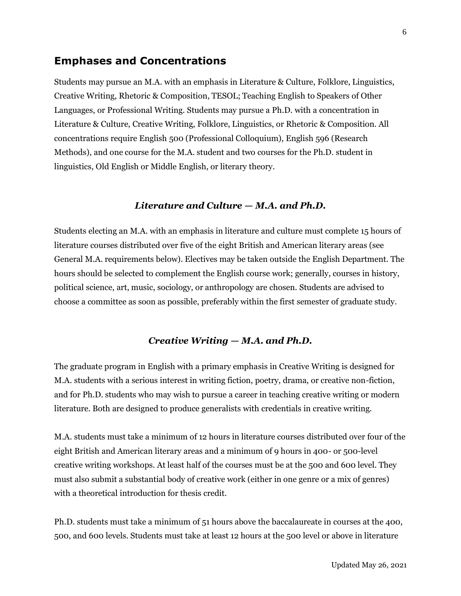### <span id="page-9-0"></span>**Emphases and Concentrations**

Students may pursue an M.A. with an emphasis in Literature & Culture, Folklore, Linguistics, Creative Writing, Rhetoric & Composition, TESOL; Teaching English to Speakers of Other Languages, or Professional Writing. Students may pursue a Ph.D. with a concentration in Literature & Culture, Creative Writing, Folklore, Linguistics, or Rhetoric & Composition. All concentrations require English 500 (Professional Colloquium), English 596 (Research Methods), and one course for the M.A. student and two courses for the Ph.D. student in linguistics, Old English or Middle English, or literary theory.

#### *Literature and Culture — M.A. and Ph.D.*

Students electing an M.A. with an emphasis in literature and culture must complete 15 hours of literature courses distributed over five of the eight British and American literary areas (see General M.A. requirements below). Electives may be taken outside the English Department. The hours should be selected to complement the English course work; generally, courses in history, political science, art, music, sociology, or anthropology are chosen. Students are advised to choose a committee as soon as possible, preferably within the first semester of graduate study.

#### *Creative Writing — M.A. and Ph.D.*

The graduate program in English with a primary emphasis in Creative Writing is designed for M.A. students with a serious interest in writing fiction, poetry, drama, or creative non-fiction, and for Ph.D. students who may wish to pursue a career in teaching creative writing or modern literature. Both are designed to produce generalists with credentials in creative writing.

M.A. students must take a minimum of 12 hours in literature courses distributed over four of the eight British and American literary areas and a minimum of 9 hours in 400- or 500-level creative writing workshops. At least half of the courses must be at the 500 and 600 level. They must also submit a substantial body of creative work (either in one genre or a mix of genres) with a theoretical introduction for thesis credit.

Ph.D. students must take a minimum of 51 hours above the baccalaureate in courses at the 400, 500, and 600 levels. Students must take at least 12 hours at the 500 level or above in literature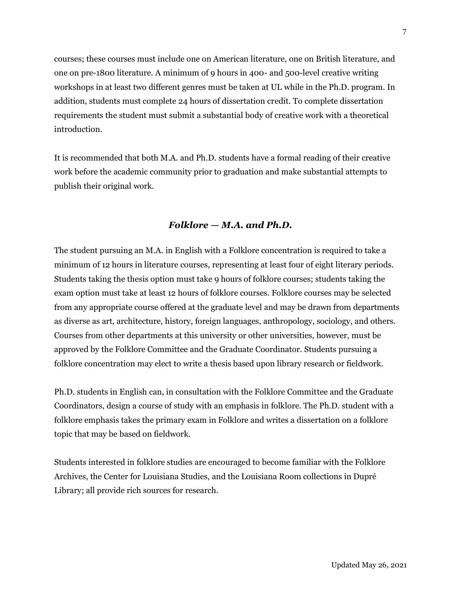courses; these courses must include one on American literature, one on British literature, and one on pre-1800 literature. A minimum of 9 hours in 400- and 500-level creative writing workshops in at least two different genres must be taken at UL while in the Ph.D. program. In addition, students must complete 24 hours of dissertation credit. To complete dissertation requirements the student must submit a substantial body of creative work with a theoretical introduction.

It is recommended that both M.A. and Ph.D. students have a formal reading of their creative work before the academic community prior to graduation and make substantial attempts to publish their original work.

#### *Folklore — M.A. and Ph.D.*

The student pursuing an M.A. in English with a Folklore concentration is required to take a minimum of 12 hours in literature courses, representing at least four of eight literary periods. Students taking the thesis option must take 9 hours of folklore courses; students taking the exam option must take at least 12 hours of folklore courses. Folklore courses may be selected from any appropriate course offered at the graduate level and may be drawn from departments as diverse as art, architecture, history, foreign languages, anthropology, sociology, and others. Courses from other departments at this university or other universities, however, must be approved by the Folklore Committee and the Graduate Coordinator. Students pursuing a folklore concentration may elect to write a thesis based upon library research or fieldwork.

Ph.D. students in English can, in consultation with the Folklore Committee and the Graduate Coordinators, design a course of study with an emphasis in folklore. The Ph.D. student with a folklore emphasis takes the primary exam in Folklore and writes a dissertation on a folklore topic that may be based on fieldwork.

Students interested in folklore studies are encouraged to become familiar with the Folklore Archives, the Center for Louisiana Studies, and the Louisiana Room collections in Dupré Library; all provide rich sources for research.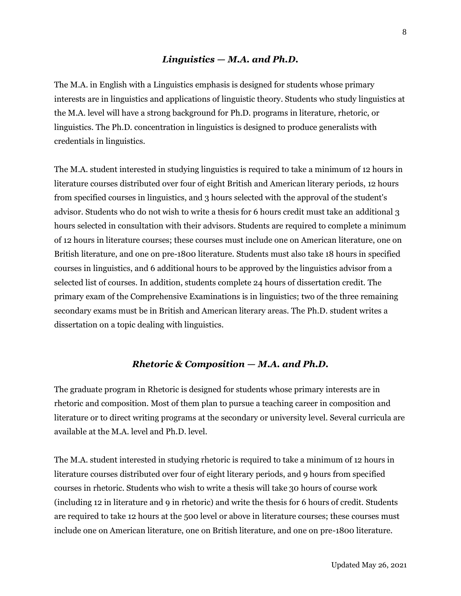#### *Linguistics — M.A. and Ph.D.*

The M.A. in English with a Linguistics emphasis is designed for students whose primary interests are in linguistics and applications of linguistic theory. Students who study linguistics at the M.A. level will have a strong background for Ph.D. programs in literature, rhetoric, or linguistics. The Ph.D. concentration in linguistics is designed to produce generalists with credentials in linguistics.

The M.A. student interested in studying linguistics is required to take a minimum of 12 hours in literature courses distributed over four of eight British and American literary periods, 12 hours from specified courses in linguistics, and 3 hours selected with the approval of the student's advisor. Students who do not wish to write a thesis for 6 hours credit must take an additional 3 hours selected in consultation with their advisors. Students are required to complete a minimum of 12 hours in literature courses; these courses must include one on American literature, one on British literature, and one on pre-1800 literature. Students must also take 18 hours in specified courses in linguistics, and 6 additional hours to be approved by the linguistics advisor from a selected list of courses. In addition, students complete 24 hours of dissertation credit. The primary exam of the Comprehensive Examinations is in linguistics; two of the three remaining secondary exams must be in British and American literary areas. The Ph.D. student writes a dissertation on a topic dealing with linguistics.

#### *Rhetoric & Composition — M.A. and Ph.D.*

The graduate program in Rhetoric is designed for students whose primary interests are in rhetoric and composition. Most of them plan to pursue a teaching career in composition and literature or to direct writing programs at the secondary or university level. Several curricula are available at the M.A. level and Ph.D. level.

The M.A. student interested in studying rhetoric is required to take a minimum of 12 hours in literature courses distributed over four of eight literary periods, and 9 hours from specified courses in rhetoric. Students who wish to write a thesis will take 30 hours of course work (including 12 in literature and 9 in rhetoric) and write the thesis for 6 hours of credit. Students are required to take 12 hours at the 500 level or above in literature courses; these courses must include one on American literature, one on British literature, and one on pre-1800 literature.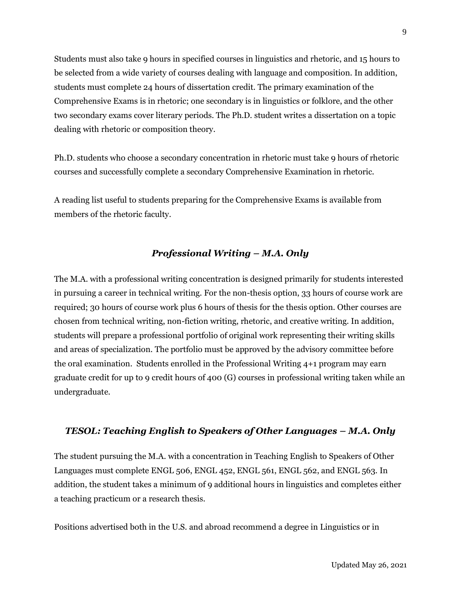Students must also take 9 hours in specified courses in linguistics and rhetoric, and 15 hours to be selected from a wide variety of courses dealing with language and composition. In addition, students must complete 24 hours of dissertation credit. The primary examination of the Comprehensive Exams is in rhetoric; one secondary is in linguistics or folklore, and the other two secondary exams cover literary periods. The Ph.D. student writes a dissertation on a topic dealing with rhetoric or composition theory.

Ph.D. students who choose a secondary concentration in rhetoric must take 9 hours of rhetoric courses and successfully complete a secondary Comprehensive Examination in rhetoric.

A reading list useful to students preparing for the Comprehensive Exams is available from members of the rhetoric faculty.

#### *Professional Writing – M.A. Only*

The M.A. with a professional writing concentration is designed primarily for students interested in pursuing a career in technical writing. For the non-thesis option, 33 hours of course work are required; 30 hours of course work plus 6 hours of thesis for the thesis option. Other courses are chosen from technical writing, non-fiction writing, rhetoric, and creative writing. In addition, students will prepare a professional portfolio of original work representing their writing skills and areas of specialization. The portfolio must be approved by the advisory committee before the oral examination. Students enrolled in the Professional Writing 4+1 program may earn graduate credit for up to 9 credit hours of 400 (G) courses in professional writing taken while an undergraduate.

#### *TESOL: Teaching English to Speakers of Other Languages – M.A. Only*

The student pursuing the M.A. with a concentration in Teaching English to Speakers of Other Languages must complete ENGL 506, ENGL 452, ENGL 561, ENGL 562, and ENGL 563. In addition, the student takes a minimum of 9 additional hours in linguistics and completes either a teaching practicum or a research thesis.

Positions advertised both in the U.S. and abroad recommend a degree in Linguistics or in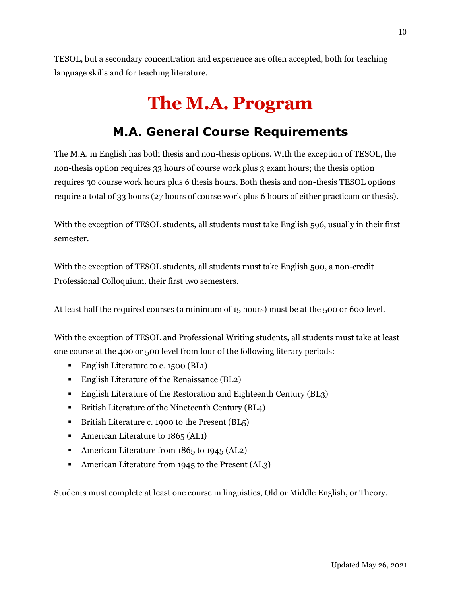<span id="page-13-0"></span>TESOL, but a secondary concentration and experience are often accepted, both for teaching language skills and for teaching literature.

# **The M.A. Program**

## **M.A. General Course Requirements**

<span id="page-13-1"></span>The M.A. in English has both thesis and non-thesis options. With the exception of TESOL, the non-thesis option requires 33 hours of course work plus 3 exam hours; the thesis option requires 30 course work hours plus 6 thesis hours. Both thesis and non-thesis TESOL options require a total of 33 hours (27 hours of course work plus 6 hours of either practicum or thesis).

With the exception of TESOL students, all students must take English 596, usually in their first semester.

With the exception of TESOL students, all students must take English 500, a non-credit Professional Colloquium, their first two semesters.

At least half the required courses (a minimum of 15 hours) must be at the 500 or 600 level.

With the exception of TESOL and Professional Writing students, all students must take at least one course at the 400 or 500 level from four of the following literary periods:

- **•** English Literature to c. 1500 (BL1)
- English Literature of the Renaissance (BL2)
- English Literature of the Restoration and Eighteenth Century (BL3)
- British Literature of the Nineteenth Century (BL4)
- **EXECUTE:** British Literature c. 1900 to the Present (BL<sub>5</sub>)
- $\blacksquare$  American Literature to 1865 (AL1)
- American Literature from 1865 to 1945 (AL2)
- American Literature from 1945 to the Present (AL3)

Students must complete at least one course in linguistics, Old or Middle English, or Theory.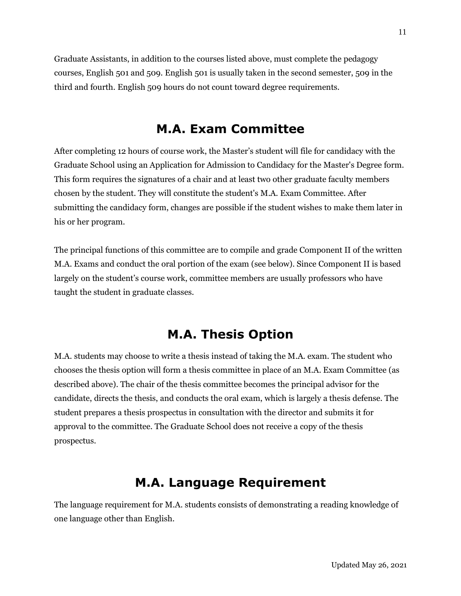Graduate Assistants, in addition to the courses listed above, must complete the pedagogy courses, English 501 and 509. English 501 is usually taken in the second semester, 509 in the third and fourth. English 509 hours do not count toward degree requirements.

## **M.A. Exam Committee**

<span id="page-14-0"></span>After completing 12 hours of course work, the Master's student will file for candidacy with the Graduate School using an Application for Admission to Candidacy for the Master's Degree form. This form requires the signatures of a chair and at least two other graduate faculty members chosen by the student. They will constitute the student's M.A. Exam Committee. After submitting the candidacy form, changes are possible if the student wishes to make them later in his or her program.

The principal functions of this committee are to compile and grade Component II of the written M.A. Exams and conduct the oral portion of the exam (see below). Since Component II is based largely on the student's course work, committee members are usually professors who have taught the student in graduate classes.

## **M.A. Thesis Option**

<span id="page-14-1"></span>M.A. students may choose to write a thesis instead of taking the M.A. exam. The student who chooses the thesis option will form a thesis committee in place of an M.A. Exam Committee (as described above). The chair of the thesis committee becomes the principal advisor for the candidate, directs the thesis, and conducts the oral exam, which is largely a thesis defense. The student prepares a thesis prospectus in consultation with the director and submits it for approval to the committee. The Graduate School does not receive a copy of the thesis prospectus.

## **M.A. Language Requirement**

<span id="page-14-2"></span>The language requirement for M.A. students consists of demonstrating a reading knowledge of one language other than English.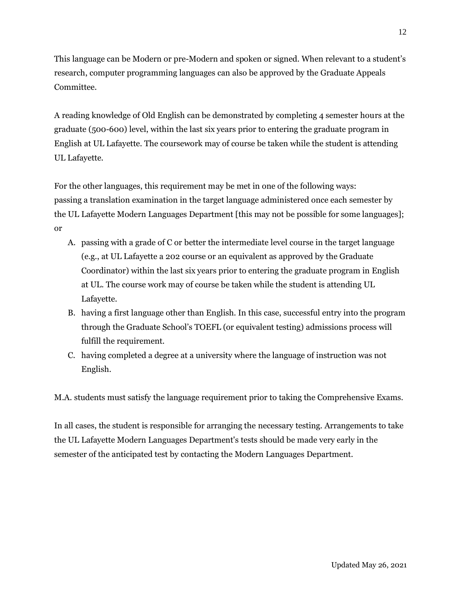This language can be Modern or pre-Modern and spoken or signed. When relevant to a student's research, computer programming languages can also be approved by the Graduate Appeals Committee.

A reading knowledge of Old English can be demonstrated by completing 4 semester hours at the graduate (500-600) level, within the last six years prior to entering the graduate program in English at UL Lafayette. The coursework may of course be taken while the student is attending UL Lafayette.

For the other languages, this requirement may be met in one of the following ways: passing a translation examination in the target language administered once each semester by the UL Lafayette Modern Languages Department [this may not be possible for some languages]; or

- A. passing with a grade of C or better the intermediate level course in the target language (e.g., at UL Lafayette a 202 course or an equivalent as approved by the Graduate Coordinator) within the last six years prior to entering the graduate program in English at UL. The course work may of course be taken while the student is attending UL Lafayette.
- B. having a first language other than English. In this case, successful entry into the program through the Graduate School's TOEFL (or equivalent testing) admissions process will fulfill the requirement.
- C. having completed a degree at a university where the language of instruction was not English.

M.A. students must satisfy the language requirement prior to taking the Comprehensive Exams.

In all cases, the student is responsible for arranging the necessary testing. Arrangements to take the UL Lafayette Modern Languages Department's tests should be made very early in the semester of the anticipated test by contacting the Modern Languages Department.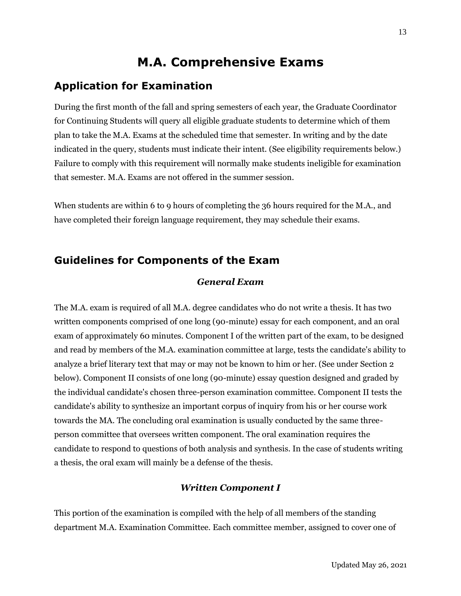## **M.A. Comprehensive Exams**

### <span id="page-16-1"></span><span id="page-16-0"></span>**Application for Examination**

During the first month of the fall and spring semesters of each year, the Graduate Coordinator for Continuing Students will query all eligible graduate students to determine which of them plan to take the M.A. Exams at the scheduled time that semester. In writing and by the date indicated in the query, students must indicate their intent. (See eligibility requirements below.) Failure to comply with this requirement will normally make students ineligible for examination that semester. M.A. Exams are not offered in the summer session.

When students are within 6 to 9 hours of completing the 36 hours required for the M.A., and have completed their foreign language requirement, they may schedule their exams.

## <span id="page-16-2"></span>**Guidelines for Components of the Exam**

#### *General Exam*

The M.A. exam is required of all M.A. degree candidates who do not write a thesis. It has two written components comprised of one long (90-minute) essay for each component, and an oral exam of approximately 60 minutes. Component I of the written part of the exam, to be designed and read by members of the M.A. examination committee at large, tests the candidate's ability to analyze a brief literary text that may or may not be known to him or her. (See under Section 2 below). Component II consists of one long (90-minute) essay question designed and graded by the individual candidate's chosen three-person examination committee. Component II tests the candidate's ability to synthesize an important corpus of inquiry from his or her course work towards the MA. The concluding oral examination is usually conducted by the same threeperson committee that oversees written component. The oral examination requires the candidate to respond to questions of both analysis and synthesis. In the case of students writing a thesis, the oral exam will mainly be a defense of the thesis.

#### *Written Component I*

This portion of the examination is compiled with the help of all members of the standing department M.A. Examination Committee. Each committee member, assigned to cover one of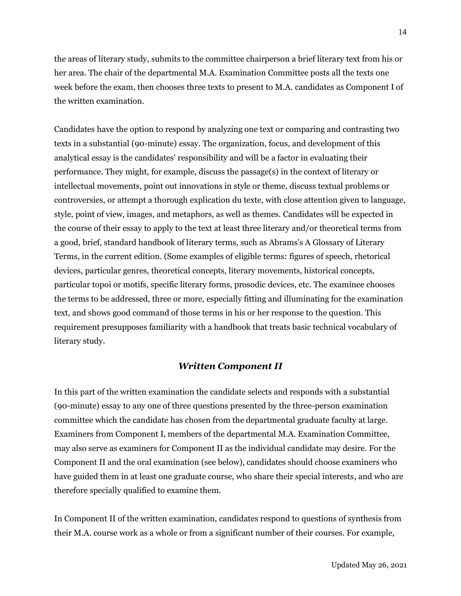the areas of literary study, submits to the committee chairperson a brief literary text from his or her area. The chair of the departmental M.A. Examination Committee posts all the texts one week before the exam, then chooses three texts to present to M.A. candidates as Component I of the written examination.

Candidates have the option to respond by analyzing one text or comparing and contrasting two texts in a substantial (90-minute) essay. The organization, focus, and development of this analytical essay is the candidates' responsibility and will be a factor in evaluating their performance. They might, for example, discuss the passage(s) in the context of literary or intellectual movements, point out innovations in style or theme, discuss textual problems or controversies, or attempt a thorough explication du texte, with close attention given to language, style, point of view, images, and metaphors, as well as themes. Candidates will be expected in the course of their essay to apply to the text at least three literary and/or theoretical terms from a good, brief, standard handbook of literary terms, such as Abrams's A Glossary of Literary Terms, in the current edition. (Some examples of eligible terms: figures of speech, rhetorical devices, particular genres, theoretical concepts, literary movements, historical concepts, particular topoi or motifs, specific literary forms, prosodic devices, etc. The examinee chooses the terms to be addressed, three or more, especially fitting and illuminating for the examination text, and shows good command of those terms in his or her response to the question. This requirement presupposes familiarity with a handbook that treats basic technical vocabulary of literary study.

#### *Written Component II*

In this part of the written examination the candidate selects and responds with a substantial (90-minute) essay to any one of three questions presented by the three-person examination committee which the candidate has chosen from the departmental graduate faculty at large. Examiners from Component I, members of the departmental M.A. Examination Committee, may also serve as examiners for Component II as the individual candidate may desire. For the Component II and the oral examination (see below), candidates should choose examiners who have guided them in at least one graduate course, who share their special interests, and who are therefore specially qualified to examine them.

In Component II of the written examination, candidates respond to questions of synthesis from their M.A. course work as a whole or from a significant number of their courses. For example,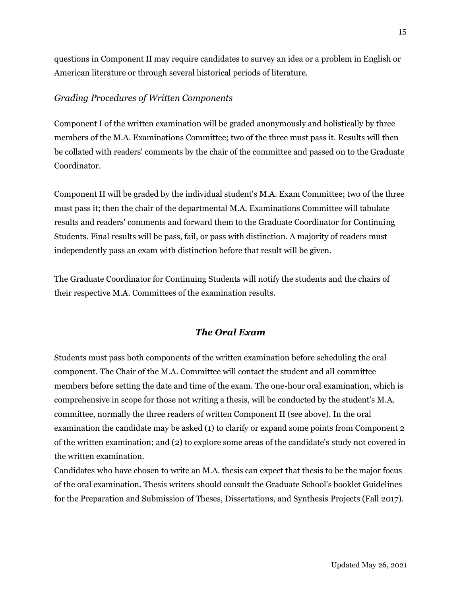questions in Component II may require candidates to survey an idea or a problem in English or American literature or through several historical periods of literature.

#### *Grading Procedures of Written Components*

Component I of the written examination will be graded anonymously and holistically by three members of the M.A. Examinations Committee; two of the three must pass it. Results will then be collated with readers' comments by the chair of the committee and passed on to the Graduate Coordinator.

Component II will be graded by the individual student's M.A. Exam Committee; two of the three must pass it; then the chair of the departmental M.A. Examinations Committee will tabulate results and readers' comments and forward them to the Graduate Coordinator for Continuing Students. Final results will be pass, fail, or pass with distinction. A majority of readers must independently pass an exam with distinction before that result will be given.

The Graduate Coordinator for Continuing Students will notify the students and the chairs of their respective M.A. Committees of the examination results.

#### *The Oral Exam*

Students must pass both components of the written examination before scheduling the oral component. The Chair of the M.A. Committee will contact the student and all committee members before setting the date and time of the exam. The one-hour oral examination, which is comprehensive in scope for those not writing a thesis, will be conducted by the student's M.A. committee, normally the three readers of written Component II (see above). In the oral examination the candidate may be asked (1) to clarify or expand some points from Component 2 of the written examination; and (2) to explore some areas of the candidate's study not covered in the written examination.

Candidates who have chosen to write an M.A. thesis can expect that thesis to be the major focus of the oral examination. Thesis writers should consult the Graduate School's booklet Guidelines for the Preparation and Submission of Theses, Dissertations, and Synthesis Projects (Fall 2017).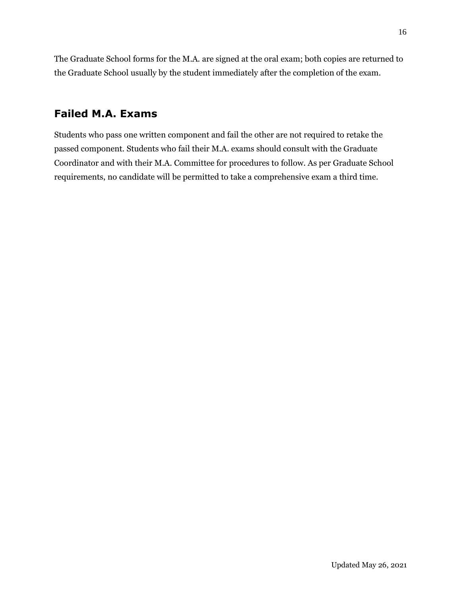The Graduate School forms for the M.A. are signed at the oral exam; both copies are returned to the Graduate School usually by the student immediately after the completion of the exam.

### <span id="page-19-0"></span>**Failed M.A. Exams**

Students who pass one written component and fail the other are not required to retake the passed component. Students who fail their M.A. exams should consult with the Graduate Coordinator and with their M.A. Committee for procedures to follow. As per Graduate School requirements, no candidate will be permitted to take a comprehensive exam a third time.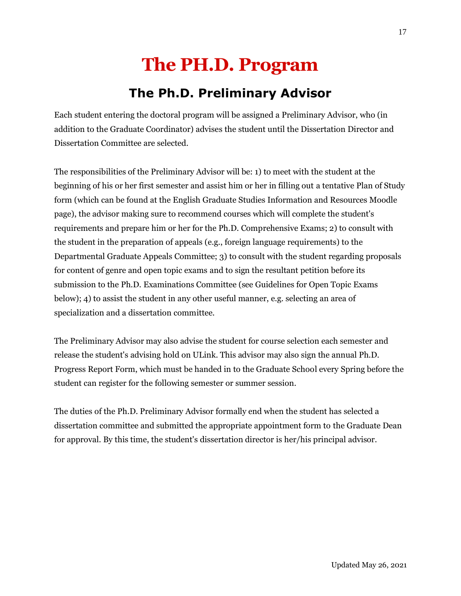# **The PH.D. Program**

# **The Ph.D. Preliminary Advisor**

<span id="page-20-1"></span><span id="page-20-0"></span>Each student entering the doctoral program will be assigned a Preliminary Advisor, who (in addition to the Graduate Coordinator) advises the student until the Dissertation Director and Dissertation Committee are selected.

The responsibilities of the Preliminary Advisor will be: 1) to meet with the student at the beginning of his or her first semester and assist him or her in filling out a tentative Plan of Study form (which can be found at the English Graduate Studies Information and Resources Moodle page), the advisor making sure to recommend courses which will complete the student's requirements and prepare him or her for the Ph.D. Comprehensive Exams; 2) to consult with the student in the preparation of appeals (e.g., foreign language requirements) to the Departmental Graduate Appeals Committee; 3) to consult with the student regarding proposals for content of genre and open topic exams and to sign the resultant petition before its submission to the Ph.D. Examinations Committee (see Guidelines for Open Topic Exams below); 4) to assist the student in any other useful manner, e.g. selecting an area of specialization and a dissertation committee.

The Preliminary Advisor may also advise the student for course selection each semester and release the student's advising hold on ULink. This advisor may also sign the annual Ph.D. Progress Report Form, which must be handed in to the Graduate School every Spring before the student can register for the following semester or summer session.

The duties of the Ph.D. Preliminary Advisor formally end when the student has selected a dissertation committee and submitted the appropriate appointment form to the Graduate Dean for approval. By this time, the student's dissertation director is her/his principal advisor.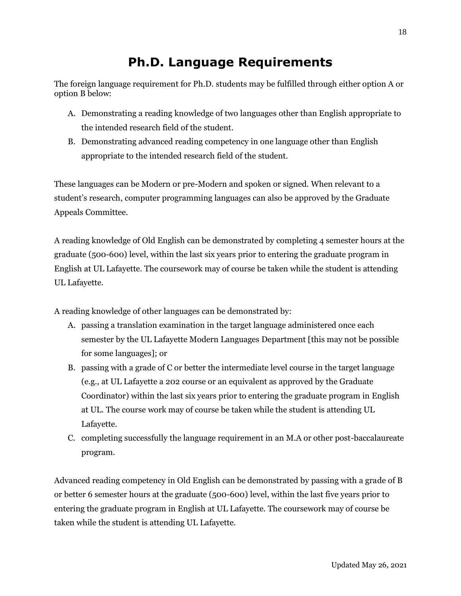# **Ph.D. Language Requirements**

<span id="page-21-0"></span>The foreign language requirement for Ph.D. students may be fulfilled through either option A or option B below:

- A. Demonstrating a reading knowledge of two languages other than English appropriate to the intended research field of the student.
- B. Demonstrating advanced reading competency in one language other than English appropriate to the intended research field of the student.

These languages can be Modern or pre-Modern and spoken or signed. When relevant to a student's research, computer programming languages can also be approved by the Graduate Appeals Committee.

A reading knowledge of Old English can be demonstrated by completing 4 semester hours at the graduate (500-600) level, within the last six years prior to entering the graduate program in English at UL Lafayette. The coursework may of course be taken while the student is attending UL Lafayette.

A reading knowledge of other languages can be demonstrated by:

- A. passing a translation examination in the target language administered once each semester by the UL Lafayette Modern Languages Department [this may not be possible for some languages]; or
- B. passing with a grade of C or better the intermediate level course in the target language (e.g., at UL Lafayette a 202 course or an equivalent as approved by the Graduate Coordinator) within the last six years prior to entering the graduate program in English at UL. The course work may of course be taken while the student is attending UL Lafayette.
- C. completing successfully the language requirement in an M.A or other post-baccalaureate program.

Advanced reading competency in Old English can be demonstrated by passing with a grade of B or better 6 semester hours at the graduate (500-600) level, within the last five years prior to entering the graduate program in English at UL Lafayette. The coursework may of course be taken while the student is attending UL Lafayette.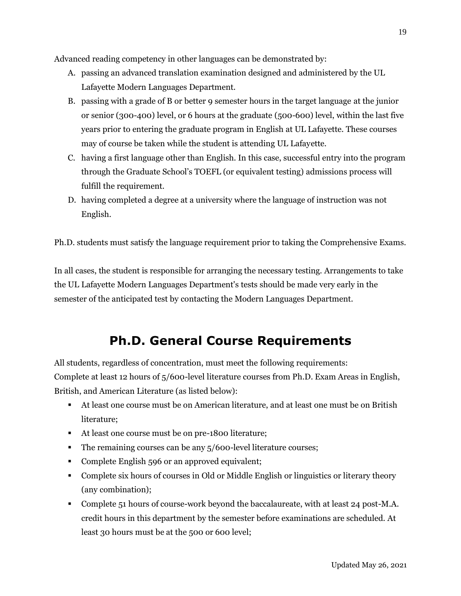Advanced reading competency in other languages can be demonstrated by:

- A. passing an advanced translation examination designed and administered by the UL Lafayette Modern Languages Department.
- B. passing with a grade of B or better 9 semester hours in the target language at the junior or senior (300-400) level, or 6 hours at the graduate (500-600) level, within the last five years prior to entering the graduate program in English at UL Lafayette. These courses may of course be taken while the student is attending UL Lafayette.
- C. having a first language other than English. In this case, successful entry into the program through the Graduate School's TOEFL (or equivalent testing) admissions process will fulfill the requirement.
- D. having completed a degree at a university where the language of instruction was not English.

Ph.D. students must satisfy the language requirement prior to taking the Comprehensive Exams.

In all cases, the student is responsible for arranging the necessary testing. Arrangements to take the UL Lafayette Modern Languages Department's tests should be made very early in the semester of the anticipated test by contacting the Modern Languages Department.

## **Ph.D. General Course Requirements**

<span id="page-22-0"></span>All students, regardless of concentration, must meet the following requirements: Complete at least 12 hours of 5/600-level literature courses from Ph.D. Exam Areas in English, British, and American Literature (as listed below):

- At least one course must be on American literature, and at least one must be on British literature;
- At least one course must be on pre-1800 literature;
- The remaining courses can be any 5/600-level literature courses;
- Complete English 596 or an approved equivalent;
- Complete six hours of courses in Old or Middle English or linguistics or literary theory (any combination);
- **Complete 51 hours of course-work beyond the baccalaureate, with at least 24 post-M.A.** credit hours in this department by the semester before examinations are scheduled. At least 30 hours must be at the 500 or 600 level;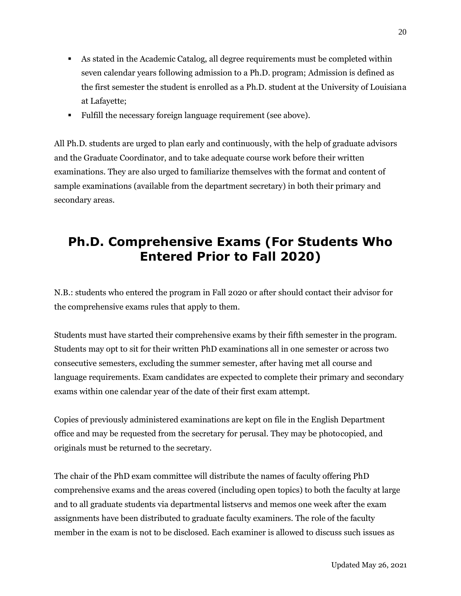- As stated in the Academic Catalog, all degree requirements must be completed within seven calendar years following admission to a Ph.D. program; Admission is defined as the first semester the student is enrolled as a Ph.D. student at the University of Louisiana at Lafayette;
- Fulfill the necessary foreign language requirement (see above).

All Ph.D. students are urged to plan early and continuously, with the help of graduate advisors and the Graduate Coordinator, and to take adequate course work before their written examinations. They are also urged to familiarize themselves with the format and content of sample examinations (available from the department secretary) in both their primary and secondary areas.

# <span id="page-23-0"></span>**Ph.D. Comprehensive Exams (For Students Who Entered Prior to Fall 2020)**

N.B.: students who entered the program in Fall 2020 or after should contact their advisor for the comprehensive exams rules that apply to them.

Students must have started their comprehensive exams by their fifth semester in the program. Students may opt to sit for their written PhD examinations all in one semester or across two consecutive semesters, excluding the summer semester, after having met all course and language requirements. Exam candidates are expected to complete their primary and secondary exams within one calendar year of the date of their first exam attempt.

Copies of previously administered examinations are kept on file in the English Department office and may be requested from the secretary for perusal. They may be photocopied, and originals must be returned to the secretary.

The chair of the PhD exam committee will distribute the names of faculty offering PhD comprehensive exams and the areas covered (including open topics) to both the faculty at large and to all graduate students via departmental listservs and memos one week after the exam assignments have been distributed to graduate faculty examiners. The role of the faculty member in the exam is not to be disclosed. Each examiner is allowed to discuss such issues as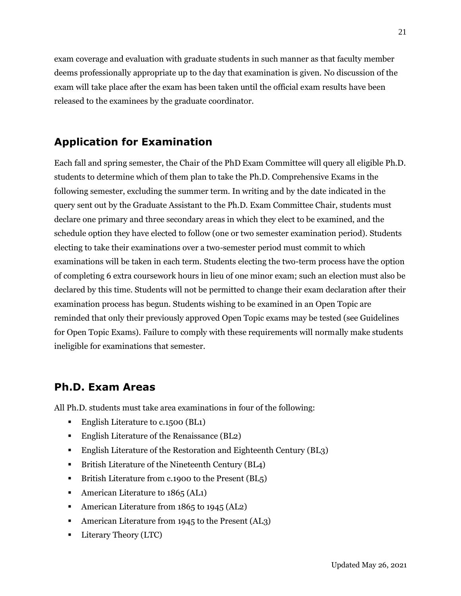exam coverage and evaluation with graduate students in such manner as that faculty member deems professionally appropriate up to the day that examination is given. No discussion of the exam will take place after the exam has been taken until the official exam results have been released to the examinees by the graduate coordinator.

## <span id="page-24-0"></span>**Application for Examination**

Each fall and spring semester, the Chair of the PhD Exam Committee will query all eligible Ph.D. students to determine which of them plan to take the Ph.D. Comprehensive Exams in the following semester, excluding the summer term. In writing and by the date indicated in the query sent out by the Graduate Assistant to the Ph.D. Exam Committee Chair, students must declare one primary and three secondary areas in which they elect to be examined, and the schedule option they have elected to follow (one or two semester examination period). Students electing to take their examinations over a two-semester period must commit to which examinations will be taken in each term. Students electing the two-term process have the option of completing 6 extra coursework hours in lieu of one minor exam; such an election must also be declared by this time. Students will not be permitted to change their exam declaration after their examination process has begun. Students wishing to be examined in an Open Topic are reminded that only their previously approved Open Topic exams may be tested (see Guidelines for Open Topic Exams). Failure to comply with these requirements will normally make students ineligible for examinations that semester.

## <span id="page-24-1"></span>**Ph.D. Exam Areas**

All Ph.D. students must take area examinations in four of the following:

- English Literature to c.1500 (BL1)
- English Literature of the Renaissance (BL2)
- English Literature of the Restoration and Eighteenth Century (BL3)
- British Literature of the Nineteenth Century (BL4)
- British Literature from c.1900 to the Present (BL5)
- **•** American Literature to 1865 (AL1)
- American Literature from 1865 to 1945 (AL2)
- American Literature from 1945 to the Present (AL3)
- **•** Literary Theory (LTC)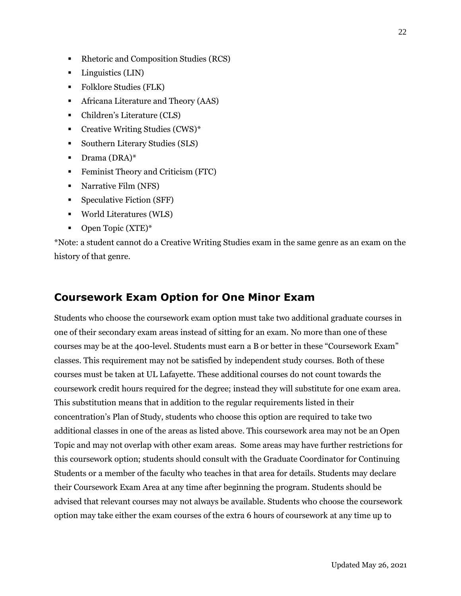- Rhetoric and Composition Studies (RCS)
- Linguistics (LIN)
- Folklore Studies (FLK)
- **•** Africana Literature and Theory (AAS)
- Children's Literature (CLS)
- Creative Writing Studies (CWS)\*
- Southern Literary Studies (SLS)
- **•** Drama (DRA)\*
- **•** Feminist Theory and Criticism (FTC)
- Narrative Film (NFS)
- Speculative Fiction (SFF)
- World Literatures (WLS)
- Open Topic (XTE)<sup>\*</sup>

\*Note: a student cannot do a Creative Writing Studies exam in the same genre as an exam on the history of that genre.

### <span id="page-25-0"></span>**Coursework Exam Option for One Minor Exam**

Students who choose the coursework exam option must take two additional graduate courses in one of their secondary exam areas instead of sitting for an exam. No more than one of these courses may be at the 400-level. Students must earn a B or better in these "Coursework Exam" classes. This requirement may not be satisfied by independent study courses. Both of these courses must be taken at UL Lafayette. These additional courses do not count towards the coursework credit hours required for the degree; instead they will substitute for one exam area. This substitution means that in addition to the regular requirements listed in their concentration's Plan of Study, students who choose this option are required to take two additional classes in one of the areas as listed above. This coursework area may not be an Open Topic and may not overlap with other exam areas. Some areas may have further restrictions for this coursework option; students should consult with the Graduate Coordinator for Continuing Students or a member of the faculty who teaches in that area for details. Students may declare their Coursework Exam Area at any time after beginning the program. Students should be advised that relevant courses may not always be available. Students who choose the coursework option may take either the exam courses of the extra 6 hours of coursework at any time up to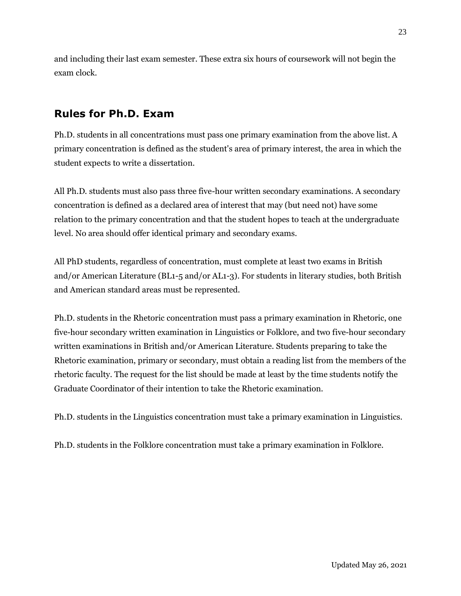and including their last exam semester. These extra six hours of coursework will not begin the exam clock.

## <span id="page-26-0"></span>**Rules for Ph.D. Exam**

Ph.D. students in all concentrations must pass one primary examination from the above list. A primary concentration is defined as the student's area of primary interest, the area in which the student expects to write a dissertation.

All Ph.D. students must also pass three five-hour written secondary examinations. A secondary concentration is defined as a declared area of interest that may (but need not) have some relation to the primary concentration and that the student hopes to teach at the undergraduate level. No area should offer identical primary and secondary exams.

All PhD students, regardless of concentration, must complete at least two exams in British and/or American Literature (BL1-5 and/or AL1-3). For students in literary studies, both British and American standard areas must be represented.

Ph.D. students in the Rhetoric concentration must pass a primary examination in Rhetoric, one five-hour secondary written examination in Linguistics or Folklore, and two five-hour secondary written examinations in British and/or American Literature. Students preparing to take the Rhetoric examination, primary or secondary, must obtain a reading list from the members of the rhetoric faculty. The request for the list should be made at least by the time students notify the Graduate Coordinator of their intention to take the Rhetoric examination.

Ph.D. students in the Linguistics concentration must take a primary examination in Linguistics.

Ph.D. students in the Folklore concentration must take a primary examination in Folklore.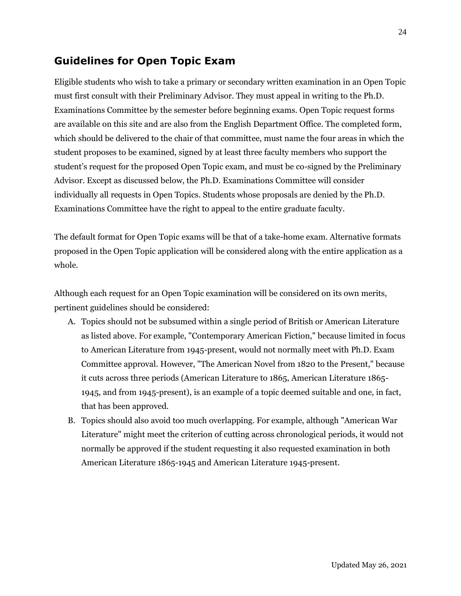## <span id="page-27-0"></span>**Guidelines for Open Topic Exam**

Eligible students who wish to take a primary or secondary written examination in an Open Topic must first consult with their Preliminary Advisor. They must appeal in writing to the Ph.D. Examinations Committee by the semester before beginning exams. Open Topic request forms are available on this site and are also from the English Department Office. The completed form, which should be delivered to the chair of that committee, must name the four areas in which the student proposes to be examined, signed by at least three faculty members who support the student's request for the proposed Open Topic exam, and must be co-signed by the Preliminary Advisor. Except as discussed below, the Ph.D. Examinations Committee will consider individually all requests in Open Topics. Students whose proposals are denied by the Ph.D. Examinations Committee have the right to appeal to the entire graduate faculty.

The default format for Open Topic exams will be that of a take-home exam. Alternative formats proposed in the Open Topic application will be considered along with the entire application as a whole.

Although each request for an Open Topic examination will be considered on its own merits, pertinent guidelines should be considered:

- A. Topics should not be subsumed within a single period of British or American Literature as listed above. For example, "Contemporary American Fiction," because limited in focus to American Literature from 1945-present, would not normally meet with Ph.D. Exam Committee approval. However, "The American Novel from 1820 to the Present," because it cuts across three periods (American Literature to 1865, American Literature 1865- 1945, and from 1945-present), is an example of a topic deemed suitable and one, in fact, that has been approved.
- B. Topics should also avoid too much overlapping. For example, although "American War Literature" might meet the criterion of cutting across chronological periods, it would not normally be approved if the student requesting it also requested examination in both American Literature 1865-1945 and American Literature 1945-present.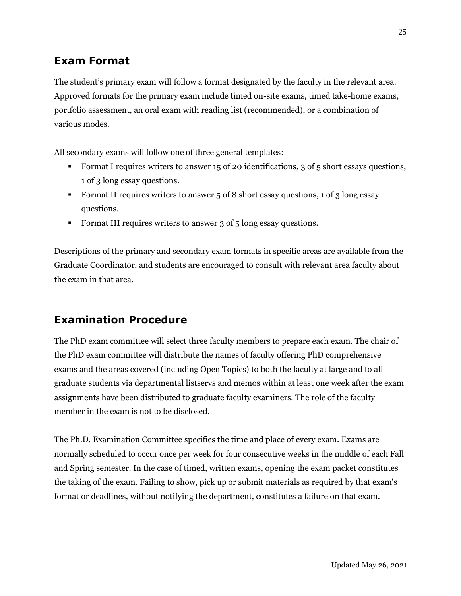## <span id="page-28-0"></span>**Exam Format**

The student's primary exam will follow a format designated by the faculty in the relevant area. Approved formats for the primary exam include timed on-site exams, timed take-home exams, portfolio assessment, an oral exam with reading list (recommended), or a combination of various modes.

All secondary exams will follow one of three general templates:

- Format I requires writers to answer 15 of 20 identifications, 3 of 5 short essays questions, 1 of 3 long essay questions.
- Format II requires writers to answer 5 of 8 short essay questions, 1 of 3 long essay questions.
- Format III requires writers to answer 3 of 5 long essay questions.

Descriptions of the primary and secondary exam formats in specific areas are available from the Graduate Coordinator, and students are encouraged to consult with relevant area faculty about the exam in that area.

## <span id="page-28-1"></span>**Examination Procedure**

The PhD exam committee will select three faculty members to prepare each exam. The chair of the PhD exam committee will distribute the names of faculty offering PhD comprehensive exams and the areas covered (including Open Topics) to both the faculty at large and to all graduate students via departmental listservs and memos within at least one week after the exam assignments have been distributed to graduate faculty examiners. The role of the faculty member in the exam is not to be disclosed.

The Ph.D. Examination Committee specifies the time and place of every exam. Exams are normally scheduled to occur once per week for four consecutive weeks in the middle of each Fall and Spring semester. In the case of timed, written exams, opening the exam packet constitutes the taking of the exam. Failing to show, pick up or submit materials as required by that exam's format or deadlines, without notifying the department, constitutes a failure on that exam.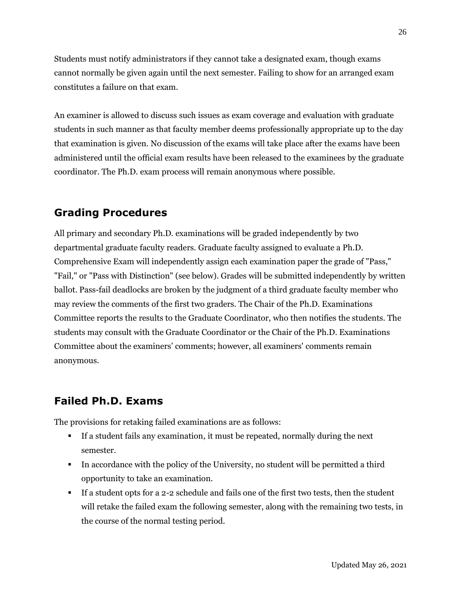Students must notify administrators if they cannot take a designated exam, though exams cannot normally be given again until the next semester. Failing to show for an arranged exam constitutes a failure on that exam.

An examiner is allowed to discuss such issues as exam coverage and evaluation with graduate students in such manner as that faculty member deems professionally appropriate up to the day that examination is given. No discussion of the exams will take place after the exams have been administered until the official exam results have been released to the examinees by the graduate coordinator. The Ph.D. exam process will remain anonymous where possible.

### <span id="page-29-0"></span>**Grading Procedures**

All primary and secondary Ph.D. examinations will be graded independently by two departmental graduate faculty readers. Graduate faculty assigned to evaluate a Ph.D. Comprehensive Exam will independently assign each examination paper the grade of "Pass," "Fail," or "Pass with Distinction" (see below). Grades will be submitted independently by written ballot. Pass-fail deadlocks are broken by the judgment of a third graduate faculty member who may review the comments of the first two graders. The Chair of the Ph.D. Examinations Committee reports the results to the Graduate Coordinator, who then notifies the students. The students may consult with the Graduate Coordinator or the Chair of the Ph.D. Examinations Committee about the examiners' comments; however, all examiners' comments remain anonymous.

## <span id="page-29-1"></span>**Failed Ph.D. Exams**

The provisions for retaking failed examinations are as follows:

- If a student fails any examination, it must be repeated, normally during the next semester.
- In accordance with the policy of the University, no student will be permitted a third opportunity to take an examination.
- If a student opts for a 2-2 schedule and fails one of the first two tests, then the student will retake the failed exam the following semester, along with the remaining two tests, in the course of the normal testing period.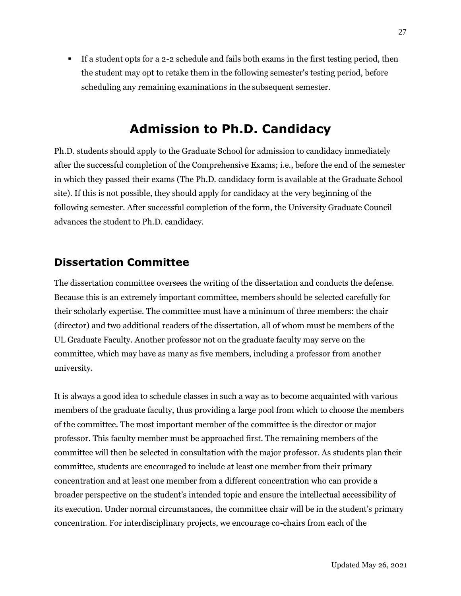▪ If a student opts for a 2-2 schedule and fails both exams in the first testing period, then the student may opt to retake them in the following semester's testing period, before scheduling any remaining examinations in the subsequent semester.

## **Admission to Ph.D. Candidacy**

<span id="page-30-0"></span>Ph.D. students should apply to the Graduate School for admission to candidacy immediately after the successful completion of the Comprehensive Exams; i.e., before the end of the semester in which they passed their exams (The Ph.D. candidacy form is available at the Graduate School site). If this is not possible, they should apply for candidacy at the very beginning of the following semester. After successful completion of the form, the University Graduate Council advances the student to Ph.D. candidacy.

## <span id="page-30-1"></span>**Dissertation Committee**

The dissertation committee oversees the writing of the dissertation and conducts the defense. Because this is an extremely important committee, members should be selected carefully for their scholarly expertise. The committee must have a minimum of three members: the chair (director) and two additional readers of the dissertation, all of whom must be members of the UL Graduate Faculty. Another professor not on the graduate faculty may serve on the committee, which may have as many as five members, including a professor from another university.

It is always a good idea to schedule classes in such a way as to become acquainted with various members of the graduate faculty, thus providing a large pool from which to choose the members of the committee. The most important member of the committee is the director or major professor. This faculty member must be approached first. The remaining members of the committee will then be selected in consultation with the major professor. As students plan their committee, students are encouraged to include at least one member from their primary concentration and at least one member from a different concentration who can provide a broader perspective on the student's intended topic and ensure the intellectual accessibility of its execution. Under normal circumstances, the committee chair will be in the student's primary concentration. For interdisciplinary projects, we encourage co-chairs from each of the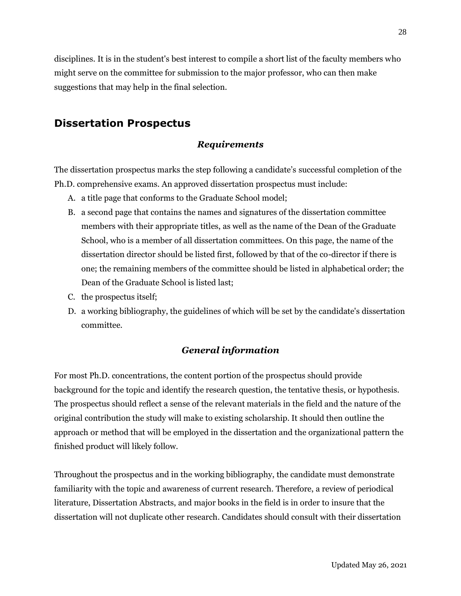disciplines. It is in the student's best interest to compile a short list of the faculty members who might serve on the committee for submission to the major professor, who can then make suggestions that may help in the final selection.

## <span id="page-31-0"></span>**Dissertation Prospectus**

#### *Requirements*

The dissertation prospectus marks the step following a candidate's successful completion of the Ph.D. comprehensive exams. An approved dissertation prospectus must include:

- A. a title page that conforms to the Graduate School model;
- B. a second page that contains the names and signatures of the dissertation committee members with their appropriate titles, as well as the name of the Dean of the Graduate School, who is a member of all dissertation committees. On this page, the name of the dissertation director should be listed first, followed by that of the co-director if there is one; the remaining members of the committee should be listed in alphabetical order; the Dean of the Graduate School is listed last;
- C. the prospectus itself;
- D. a working bibliography, the guidelines of which will be set by the candidate's dissertation committee.

#### *General information*

For most Ph.D. concentrations, the content portion of the prospectus should provide background for the topic and identify the research question, the tentative thesis, or hypothesis. The prospectus should reflect a sense of the relevant materials in the field and the nature of the original contribution the study will make to existing scholarship. It should then outline the approach or method that will be employed in the dissertation and the organizational pattern the finished product will likely follow.

Throughout the prospectus and in the working bibliography, the candidate must demonstrate familiarity with the topic and awareness of current research. Therefore, a review of periodical literature, Dissertation Abstracts, and major books in the field is in order to insure that the dissertation will not duplicate other research. Candidates should consult with their dissertation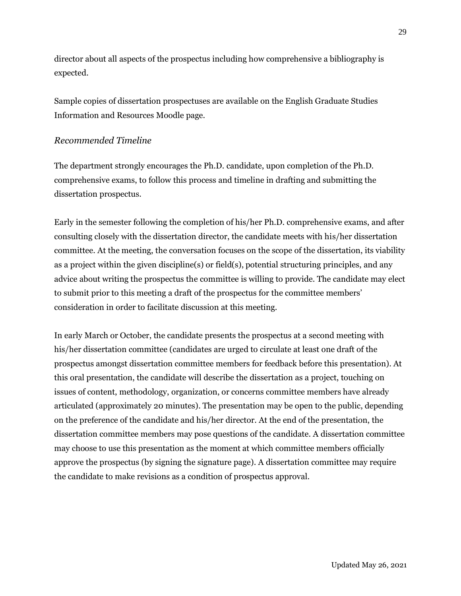director about all aspects of the prospectus including how comprehensive a bibliography is expected.

Sample copies of dissertation prospectuses are available on the English Graduate Studies Information and Resources Moodle page.

#### *Recommended Timeline*

The department strongly encourages the Ph.D. candidate, upon completion of the Ph.D. comprehensive exams, to follow this process and timeline in drafting and submitting the dissertation prospectus.

Early in the semester following the completion of his/her Ph.D. comprehensive exams, and after consulting closely with the dissertation director, the candidate meets with his/her dissertation committee. At the meeting, the conversation focuses on the scope of the dissertation, its viability as a project within the given discipline(s) or field(s), potential structuring principles, and any advice about writing the prospectus the committee is willing to provide. The candidate may elect to submit prior to this meeting a draft of the prospectus for the committee members' consideration in order to facilitate discussion at this meeting.

In early March or October, the candidate presents the prospectus at a second meeting with his/her dissertation committee (candidates are urged to circulate at least one draft of the prospectus amongst dissertation committee members for feedback before this presentation). At this oral presentation, the candidate will describe the dissertation as a project, touching on issues of content, methodology, organization, or concerns committee members have already articulated (approximately 20 minutes). The presentation may be open to the public, depending on the preference of the candidate and his/her director. At the end of the presentation, the dissertation committee members may pose questions of the candidate. A dissertation committee may choose to use this presentation as the moment at which committee members officially approve the prospectus (by signing the signature page). A dissertation committee may require the candidate to make revisions as a condition of prospectus approval.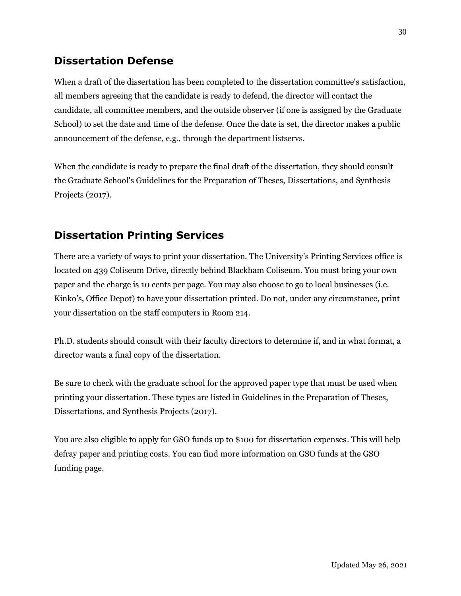## <span id="page-33-0"></span>**Dissertation Defense**

When a draft of the dissertation has been completed to the dissertation committee's satisfaction, all members agreeing that the candidate is ready to defend, the director will contact the candidate, all committee members, and the outside observer (if one is assigned by the Graduate School) to set the date and time of the defense. Once the date is set, the director makes a public announcement of the defense, e.g., through the department listservs.

When the candidate is ready to prepare the final draft of the dissertation, they should consult the Graduate School's Guidelines for the Preparation of Theses, Dissertations, and Synthesis Projects (2017).

## <span id="page-33-1"></span>**Dissertation Printing Services**

There are a variety of ways to print your dissertation. The University's Printing Services office is located on 439 Coliseum Drive, directly behind Blackham Coliseum. You must bring your own paper and the charge is 10 cents per page. You may also choose to go to local businesses (i.e. Kinko's, Office Depot) to have your dissertation printed. Do not, under any circumstance, print your dissertation on the staff computers in Room 214.

Ph.D. students should consult with their faculty directors to determine if, and in what format, a director wants a final copy of the dissertation.

Be sure to check with the graduate school for the approved paper type that must be used when printing your dissertation. These types are listed in Guidelines in the Preparation of Theses, Dissertations, and Synthesis Projects (2017).

You are also eligible to apply for GSO funds up to \$100 for dissertation expenses. This will help defray paper and printing costs. You can find more information on GSO funds at the GSO funding page.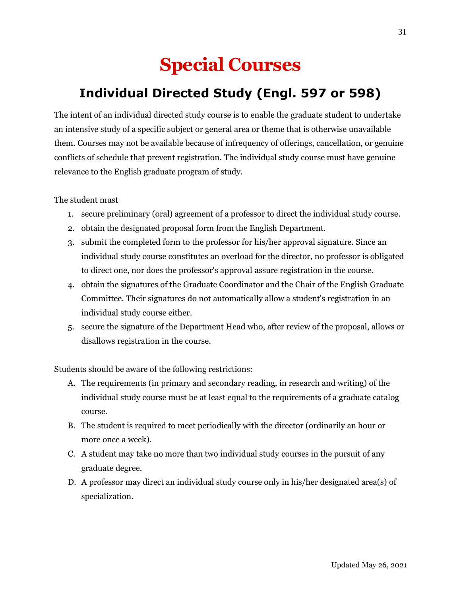# **Special Courses**

# <span id="page-34-0"></span>**Individual Directed Study (Engl. 597 or 598)**

<span id="page-34-1"></span>The intent of an individual directed study course is to enable the graduate student to undertake an intensive study of a specific subject or general area or theme that is otherwise unavailable them. Courses may not be available because of infrequency of offerings, cancellation, or genuine conflicts of schedule that prevent registration. The individual study course must have genuine relevance to the English graduate program of study.

The student must

- 1. secure preliminary (oral) agreement of a professor to direct the individual study course.
- 2. obtain the designated proposal form from the English Department.
- 3. submit the completed form to the professor for his/her approval signature. Since an individual study course constitutes an overload for the director, no professor is obligated to direct one, nor does the professor's approval assure registration in the course.
- 4. obtain the signatures of the Graduate Coordinator and the Chair of the English Graduate Committee. Their signatures do not automatically allow a student's registration in an individual study course either.
- 5. secure the signature of the Department Head who, after review of the proposal, allows or disallows registration in the course.

Students should be aware of the following restrictions:

- A. The requirements (in primary and secondary reading, in research and writing) of the individual study course must be at least equal to the requirements of a graduate catalog course.
- B. The student is required to meet periodically with the director (ordinarily an hour or more once a week).
- C. A student may take no more than two individual study courses in the pursuit of any graduate degree.
- D. A professor may direct an individual study course only in his/her designated area(s) of specialization.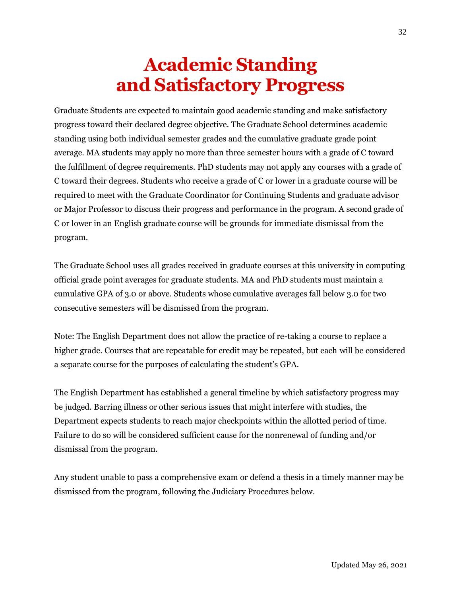# **Academic Standing and Satisfactory Progress**

<span id="page-35-1"></span><span id="page-35-0"></span>Graduate Students are expected to maintain good academic standing and make satisfactory progress toward their declared degree objective. The Graduate School determines academic standing using both individual semester grades and the cumulative graduate grade point average. MA students may apply no more than three semester hours with a grade of C toward the fulfillment of degree requirements. PhD students may not apply any courses with a grade of C toward their degrees. Students who receive a grade of C or lower in a graduate course will be required to meet with the Graduate Coordinator for Continuing Students and graduate advisor or Major Professor to discuss their progress and performance in the program. A second grade of C or lower in an English graduate course will be grounds for immediate dismissal from the program.

The Graduate School uses all grades received in graduate courses at this university in computing official grade point averages for graduate students. MA and PhD students must maintain a cumulative GPA of 3.0 or above. Students whose cumulative averages fall below 3.0 for two consecutive semesters will be dismissed from the program.

Note: The English Department does not allow the practice of re-taking a course to replace a higher grade. Courses that are repeatable for credit may be repeated, but each will be considered a separate course for the purposes of calculating the student's GPA.

The English Department has established a general timeline by which satisfactory progress may be judged. Barring illness or other serious issues that might interfere with studies, the Department expects students to reach major checkpoints within the allotted period of time. Failure to do so will be considered sufficient cause for the nonrenewal of funding and/or dismissal from the program.

Any student unable to pass a comprehensive exam or defend a thesis in a timely manner may be dismissed from the program, following the Judiciary Procedures below.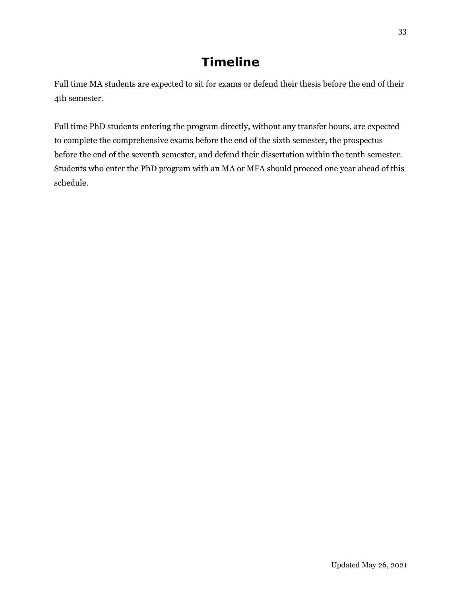# **Timeline**

<span id="page-36-0"></span>Full time MA students are expected to sit for exams or defend their thesis before the end of their 4th semester.

Full time PhD students entering the program directly, without any transfer hours, are expected to complete the comprehensive exams before the end of the sixth semester, the prospectus before the end of the seventh semester, and defend their dissertation within the tenth semester. Students who enter the PhD program with an MA or MFA should proceed one year ahead of this schedule.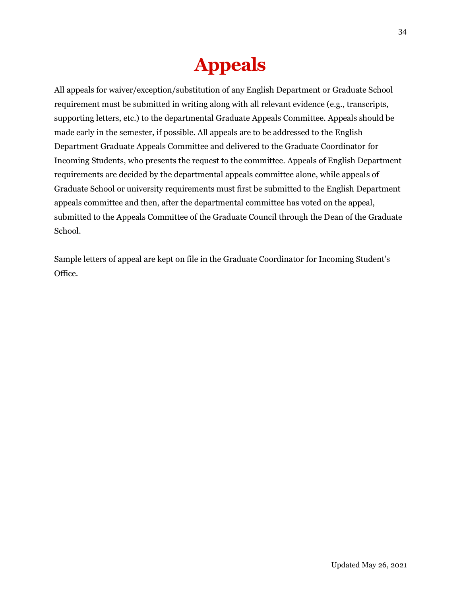# **Appeals**

<span id="page-37-0"></span>All appeals for waiver/exception/substitution of any English Department or Graduate School requirement must be submitted in writing along with all relevant evidence (e.g., transcripts, supporting letters, etc.) to the departmental Graduate Appeals Committee. Appeals should be made early in the semester, if possible. All appeals are to be addressed to the English Department Graduate Appeals Committee and delivered to the Graduate Coordinator for Incoming Students, who presents the request to the committee. Appeals of English Department requirements are decided by the departmental appeals committee alone, while appeals of Graduate School or university requirements must first be submitted to the English Department appeals committee and then, after the departmental committee has voted on the appeal, submitted to the Appeals Committee of the Graduate Council through the Dean of the Graduate School.

Sample letters of appeal are kept on file in the Graduate Coordinator for Incoming Student's Office.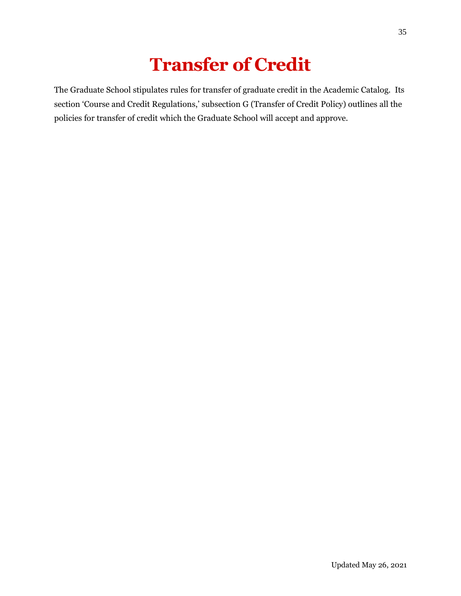# **Transfer of Credit**

<span id="page-38-0"></span>The Graduate School stipulates rules for transfer of graduate credit in the Academic Catalog. Its section 'Course and Credit Regulations,' subsection G (Transfer of Credit Policy) outlines all the policies for transfer of credit which the Graduate School will accept and approve.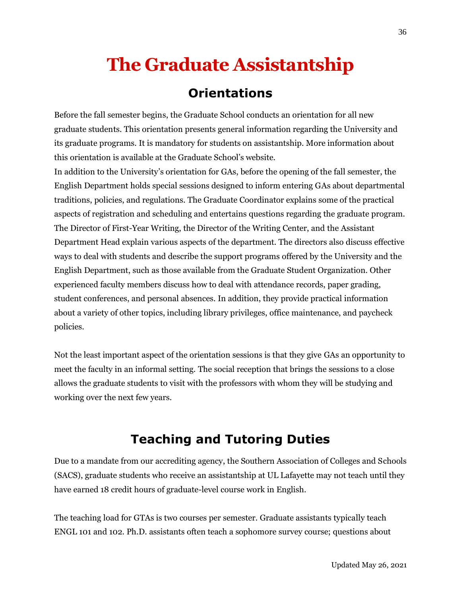# <span id="page-39-0"></span>**The Graduate Assistantship**

## **Orientations**

<span id="page-39-1"></span>Before the fall semester begins, the Graduate School conducts an orientation for all new graduate students. This orientation presents general information regarding the University and its graduate programs. It is mandatory for students on assistantship. More information about this orientation is available at the Graduate School's website.

In addition to the University's orientation for GAs, before the opening of the fall semester, the English Department holds special sessions designed to inform entering GAs about departmental traditions, policies, and regulations. The Graduate Coordinator explains some of the practical aspects of registration and scheduling and entertains questions regarding the graduate program. The Director of First-Year Writing, the Director of the Writing Center, and the Assistant Department Head explain various aspects of the department. The directors also discuss effective ways to deal with students and describe the support programs offered by the University and the English Department, such as those available from the Graduate Student Organization. Other experienced faculty members discuss how to deal with attendance records, paper grading, student conferences, and personal absences. In addition, they provide practical information about a variety of other topics, including library privileges, office maintenance, and paycheck policies.

Not the least important aspect of the orientation sessions is that they give GAs an opportunity to meet the faculty in an informal setting. The social reception that brings the sessions to a close allows the graduate students to visit with the professors with whom they will be studying and working over the next few years.

# **Teaching and Tutoring Duties**

<span id="page-39-2"></span>Due to a mandate from our accrediting agency, the Southern Association of Colleges and Schools (SACS), graduate students who receive an assistantship at UL Lafayette may not teach until they have earned 18 credit hours of graduate-level course work in English.

The teaching load for GTAs is two courses per semester. Graduate assistants typically teach ENGL 101 and 102. Ph.D. assistants often teach a sophomore survey course; questions about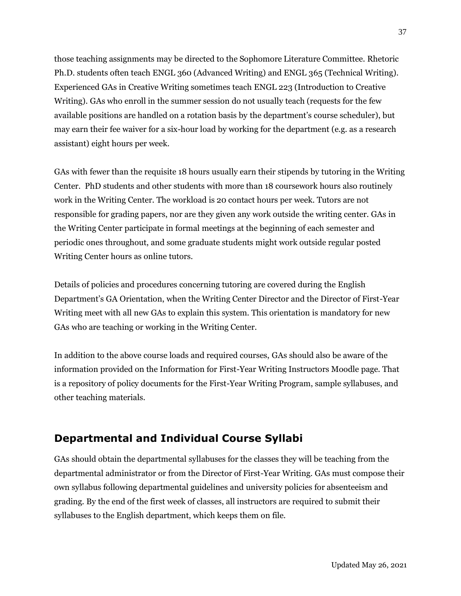those teaching assignments may be directed to the Sophomore Literature Committee. Rhetoric Ph.D. students often teach ENGL 360 (Advanced Writing) and ENGL 365 (Technical Writing). Experienced GAs in Creative Writing sometimes teach ENGL 223 (Introduction to Creative Writing). GAs who enroll in the summer session do not usually teach (requests for the few available positions are handled on a rotation basis by the department's course scheduler), but may earn their fee waiver for a six-hour load by working for the department (e.g. as a research assistant) eight hours per week.

GAs with fewer than the requisite 18 hours usually earn their stipends by tutoring in the Writing Center. PhD students and other students with more than 18 coursework hours also routinely work in the Writing Center. The workload is 20 contact hours per week. Tutors are not responsible for grading papers, nor are they given any work outside the writing center. GAs in the Writing Center participate in formal meetings at the beginning of each semester and periodic ones throughout, and some graduate students might work outside regular posted Writing Center hours as online tutors.

Details of policies and procedures concerning tutoring are covered during the English Department's GA Orientation, when the Writing Center Director and the Director of First-Year Writing meet with all new GAs to explain this system. This orientation is mandatory for new GAs who are teaching or working in the Writing Center.

In addition to the above course loads and required courses, GAs should also be aware of the information provided on the Information for First-Year Writing Instructors Moodle page. That is a repository of policy documents for the First-Year Writing Program, sample syllabuses, and other teaching materials.

## <span id="page-40-0"></span>**Departmental and Individual Course Syllabi**

GAs should obtain the departmental syllabuses for the classes they will be teaching from the departmental administrator or from the Director of First-Year Writing. GAs must compose their own syllabus following departmental guidelines and university policies for absenteeism and grading. By the end of the first week of classes, all instructors are required to submit their syllabuses to the English department, which keeps them on file.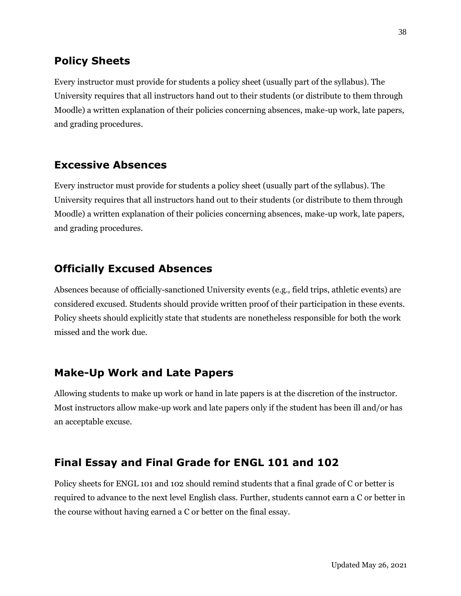### <span id="page-41-0"></span>**Policy Sheets**

Every instructor must provide for students a policy sheet (usually part of the syllabus). The University requires that all instructors hand out to their students (or distribute to them through Moodle) a written explanation of their policies concerning absences, make-up work, late papers, and grading procedures.

### <span id="page-41-1"></span>**Excessive Absences**

Every instructor must provide for students a policy sheet (usually part of the syllabus). The University requires that all instructors hand out to their students (or distribute to them through Moodle) a written explanation of their policies concerning absences, make-up work, late papers, and grading procedures.

## <span id="page-41-2"></span>**Officially Excused Absences**

Absences because of officially-sanctioned University events (e.g., field trips, athletic events) are considered excused. Students should provide written proof of their participation in these events. Policy sheets should explicitly state that students are nonetheless responsible for both the work missed and the work due.

### <span id="page-41-3"></span>**Make-Up Work and Late Papers**

Allowing students to make up work or hand in late papers is at the discretion of the instructor. Most instructors allow make-up work and late papers only if the student has been ill and/or has an acceptable excuse.

## <span id="page-41-4"></span>**Final Essay and Final Grade for ENGL 101 and 102**

Policy sheets for ENGL 101 and 102 should remind students that a final grade of C or better is required to advance to the next level English class. Further, students cannot earn a C or better in the course without having earned a C or better on the final essay.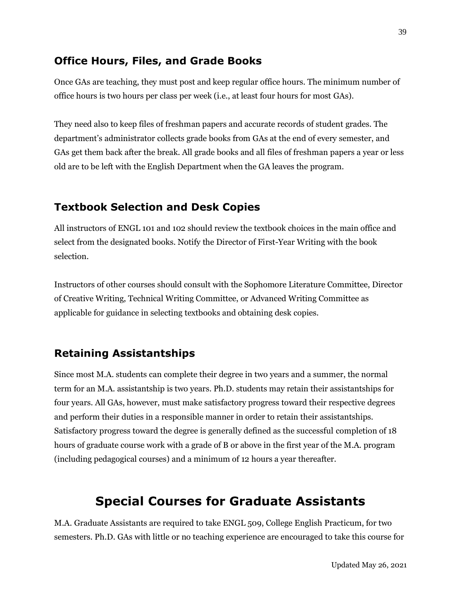### <span id="page-42-0"></span>**Office Hours, Files, and Grade Books**

Once GAs are teaching, they must post and keep regular office hours. The minimum number of office hours is two hours per class per week (i.e., at least four hours for most GAs).

They need also to keep files of freshman papers and accurate records of student grades. The department's administrator collects grade books from GAs at the end of every semester, and GAs get them back after the break. All grade books and all files of freshman papers a year or less old are to be left with the English Department when the GA leaves the program.

### <span id="page-42-1"></span>**Textbook Selection and Desk Copies**

All instructors of ENGL 101 and 102 should review the textbook choices in the main office and select from the designated books. Notify the Director of First-Year Writing with the book selection.

Instructors of other courses should consult with the Sophomore Literature Committee, Director of Creative Writing, Technical Writing Committee, or Advanced Writing Committee as applicable for guidance in selecting textbooks and obtaining desk copies.

### <span id="page-42-2"></span>**Retaining Assistantships**

Since most M.A. students can complete their degree in two years and a summer, the normal term for an M.A. assistantship is two years. Ph.D. students may retain their assistantships for four years. All GAs, however, must make satisfactory progress toward their respective degrees and perform their duties in a responsible manner in order to retain their assistantships. Satisfactory progress toward the degree is generally defined as the successful completion of 18 hours of graduate course work with a grade of B or above in the first year of the M.A. program (including pedagogical courses) and a minimum of 12 hours a year thereafter.

## **Special Courses for Graduate Assistants**

<span id="page-42-3"></span>M.A. Graduate Assistants are required to take ENGL 509, College English Practicum, for two semesters. Ph.D. GAs with little or no teaching experience are encouraged to take this course for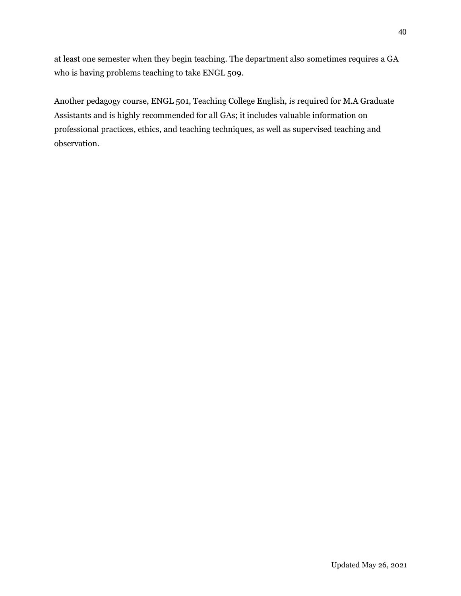at least one semester when they begin teaching. The department also sometimes requires a GA who is having problems teaching to take ENGL 509.

Another pedagogy course, ENGL 501, Teaching College English, is required for M.A Graduate Assistants and is highly recommended for all GAs; it includes valuable information on professional practices, ethics, and teaching techniques, as well as supervised teaching and observation.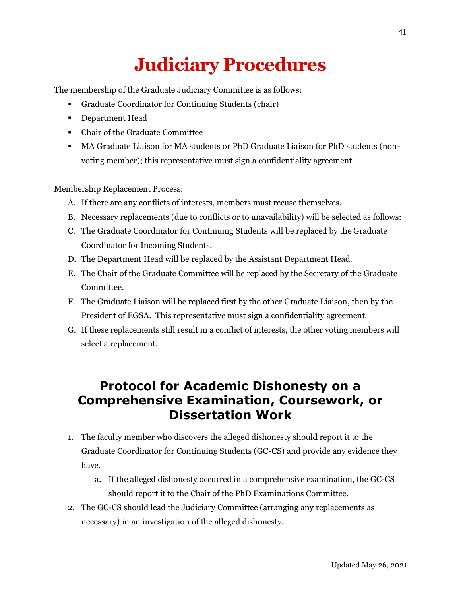# **Judiciary Procedures**

<span id="page-44-0"></span>The membership of the Graduate Judiciary Committee is as follows:

- Graduate Coordinator for Continuing Students (chair)
- Department Head
- Chair of the Graduate Committee
- MA Graduate Liaison for MA students or PhD Graduate Liaison for PhD students (nonvoting member); this representative must sign a confidentiality agreement.

Membership Replacement Process:

- A. If there are any conflicts of interests, members must recuse themselves.
- B. Necessary replacements (due to conflicts or to unavailability) will be selected as follows:
- C. The Graduate Coordinator for Continuing Students will be replaced by the Graduate Coordinator for Incoming Students.
- D. The Department Head will be replaced by the Assistant Department Head.
- E. The Chair of the Graduate Committee will be replaced by the Secretary of the Graduate Committee.
- F. The Graduate Liaison will be replaced first by the other Graduate Liaison, then by the President of EGSA. This representative must sign a confidentiality agreement.
- G. If these replacements still result in a conflict of interests, the other voting members will select a replacement.

## <span id="page-44-1"></span>**Protocol for Academic Dishonesty on a Comprehensive Examination, Coursework, or Dissertation Work**

- 1. The faculty member who discovers the alleged dishonesty should report it to the Graduate Coordinator for Continuing Students (GC-CS) and provide any evidence they have.
	- a. If the alleged dishonesty occurred in a comprehensive examination, the GC-CS should report it to the Chair of the PhD Examinations Committee.
- 2. The GC-CS should lead the Judiciary Committee (arranging any replacements as necessary) in an investigation of the alleged dishonesty.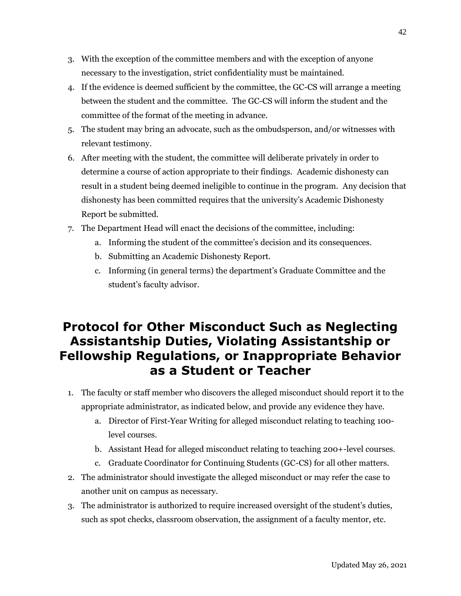- 3. With the exception of the committee members and with the exception of anyone necessary to the investigation, strict confidentiality must be maintained.
- 4. If the evidence is deemed sufficient by the committee, the GC-CS will arrange a meeting between the student and the committee. The GC-CS will inform the student and the committee of the format of the meeting in advance.
- 5. The student may bring an advocate, such as the ombudsperson, and/or witnesses with relevant testimony.
- 6. After meeting with the student, the committee will deliberate privately in order to determine a course of action appropriate to their findings. Academic dishonesty can result in a student being deemed ineligible to continue in the program. Any decision that dishonesty has been committed requires that the university's Academic Dishonesty Report be submitted.
- 7. The Department Head will enact the decisions of the committee, including:
	- a. Informing the student of the committee's decision and its consequences.
	- b. Submitting an Academic Dishonesty Report.
	- c. Informing (in general terms) the department's Graduate Committee and the student's faculty advisor.

## <span id="page-45-0"></span>**Protocol for Other Misconduct Such as Neglecting Assistantship Duties, Violating Assistantship or Fellowship Regulations, or Inappropriate Behavior as a Student or Teacher**

- 1. The faculty or staff member who discovers the alleged misconduct should report it to the appropriate administrator, as indicated below, and provide any evidence they have.
	- a. Director of First-Year Writing for alleged misconduct relating to teaching 100 level courses.
	- b. Assistant Head for alleged misconduct relating to teaching 200+-level courses.
	- c. Graduate Coordinator for Continuing Students (GC-CS) for all other matters.
- 2. The administrator should investigate the alleged misconduct or may refer the case to another unit on campus as necessary.
- 3. The administrator is authorized to require increased oversight of the student's duties, such as spot checks, classroom observation, the assignment of a faculty mentor, etc.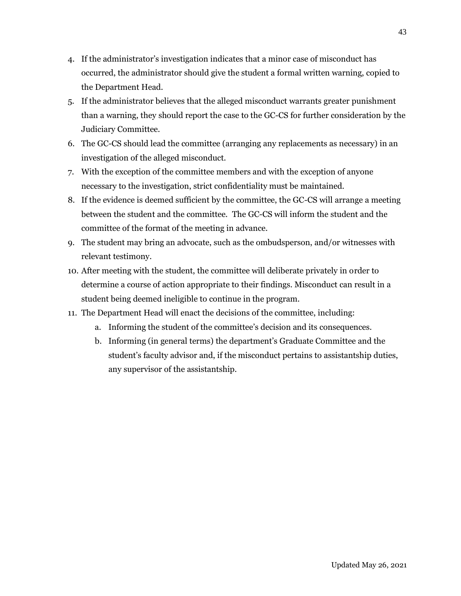- 4. If the administrator's investigation indicates that a minor case of misconduct has occurred, the administrator should give the student a formal written warning, copied to the Department Head.
- 5. If the administrator believes that the alleged misconduct warrants greater punishment than a warning, they should report the case to the GC-CS for further consideration by the Judiciary Committee.
- 6. The GC-CS should lead the committee (arranging any replacements as necessary) in an investigation of the alleged misconduct.
- 7. With the exception of the committee members and with the exception of anyone necessary to the investigation, strict confidentiality must be maintained.
- 8. If the evidence is deemed sufficient by the committee, the GC-CS will arrange a meeting between the student and the committee. The GC-CS will inform the student and the committee of the format of the meeting in advance.
- 9. The student may bring an advocate, such as the ombudsperson, and/or witnesses with relevant testimony.
- 10. After meeting with the student, the committee will deliberate privately in order to determine a course of action appropriate to their findings. Misconduct can result in a student being deemed ineligible to continue in the program.
- 11. The Department Head will enact the decisions of the committee, including:
	- a. Informing the student of the committee's decision and its consequences.
	- b. Informing (in general terms) the department's Graduate Committee and the student's faculty advisor and, if the misconduct pertains to assistantship duties, any supervisor of the assistantship.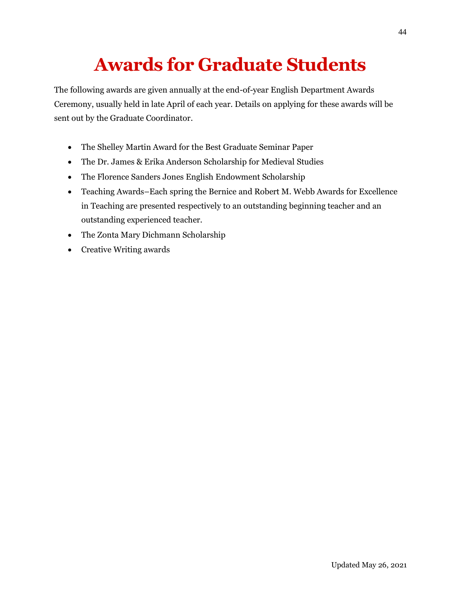# **Awards for Graduate Students**

<span id="page-47-0"></span>The following awards are given annually at the end-of-year English Department Awards Ceremony, usually held in late April of each year. Details on applying for these awards will be sent out by the Graduate Coordinator.

- The Shelley Martin Award for the Best Graduate Seminar Paper
- The Dr. James & Erika Anderson Scholarship for Medieval Studies
- The Florence Sanders Jones English Endowment Scholarship
- Teaching Awards–Each spring the Bernice and Robert M. Webb Awards for Excellence in Teaching are presented respectively to an outstanding beginning teacher and an outstanding experienced teacher.
- The Zonta Mary Dichmann Scholarship
- Creative Writing awards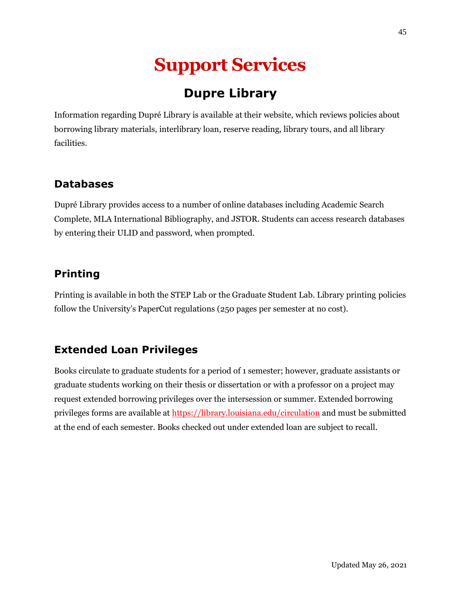# **Support Services**

# **Dupre Library**

<span id="page-48-1"></span><span id="page-48-0"></span>Information regarding Dupré Library is available at their website, which reviews policies about borrowing library materials, interlibrary loan, reserve reading, library tours, and all library facilities.

## <span id="page-48-2"></span>**Databases**

Dupré Library provides access to a number of online databases including Academic Search Complete, MLA International Bibliography, and JSTOR. Students can access research databases by entering their ULID and password, when prompted.

## <span id="page-48-3"></span>**Printing**

Printing is available in both the STEP Lab or the Graduate Student Lab. Library printing policies follow the University's PaperCut regulations (250 pages per semester at no cost).

## <span id="page-48-4"></span>**Extended Loan Privileges**

Books circulate to graduate students for a period of 1 semester; however, graduate assistants or graduate students working on their thesis or dissertation or with a professor on a project may request extended borrowing privileges over the intersession or summer. Extended borrowing privileges forms are available at <https://library.louisiana.edu/circulation> and must be submitted at the end of each semester. Books checked out under extended loan are subject to recall.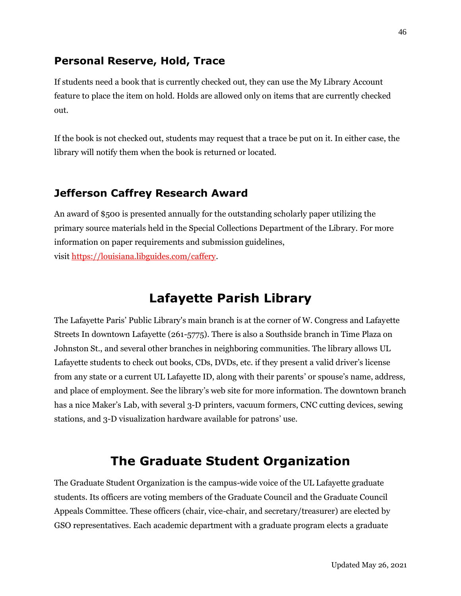## <span id="page-49-0"></span>**Personal Reserve, Hold, Trace**

If students need a book that is currently checked out, they can use the My Library Account feature to place the item on hold. Holds are allowed only on items that are currently checked out.

If the book is not checked out, students may request that a trace be put on it. In either case, the library will notify them when the book is returned or located.

## <span id="page-49-1"></span>**Jefferson Caffrey Research Award**

An award of \$500 is presented annually for the outstanding scholarly paper utilizing the primary source materials held in the Special Collections Department of the Library. For more information on paper requirements and submission guidelines, visit [https://louisiana.libguides.com/caffery.](https://louisiana.libguides.com/caffery)

## **Lafayette Parish Library**

<span id="page-49-2"></span>The Lafayette Paris' Public Library's main branch is at the corner of W. Congress and Lafayette Streets In downtown Lafayette (261-5775). There is also a Southside branch in Time Plaza on Johnston St., and several other branches in neighboring communities. The library allows UL Lafayette students to check out books, CDs, DVDs, etc. if they present a valid driver's license from any state or a current UL Lafayette ID, along with their parents' or spouse's name, address, and place of employment. See the library's web site for more information. The downtown branch has a nice Maker's Lab, with several 3-D printers, vacuum formers, CNC cutting devices, sewing stations, and 3-D visualization hardware available for patrons' use.

## **The Graduate Student Organization**

<span id="page-49-3"></span>The Graduate Student Organization is the campus-wide voice of the UL Lafayette graduate students. Its officers are voting members of the Graduate Council and the Graduate Council Appeals Committee. These officers (chair, vice-chair, and secretary/treasurer) are elected by GSO representatives. Each academic department with a graduate program elects a graduate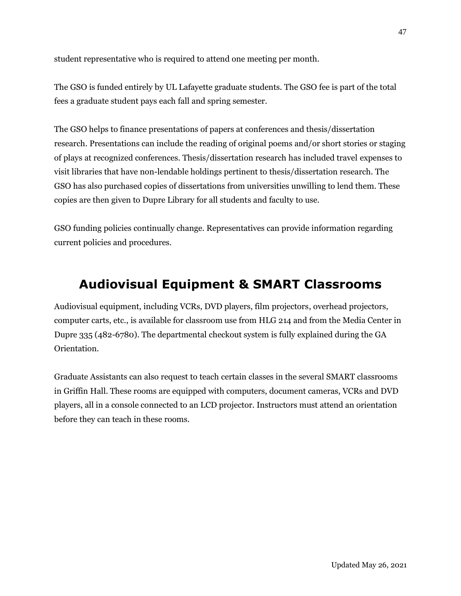student representative who is required to attend one meeting per month.

The GSO is funded entirely by UL Lafayette graduate students. The GSO fee is part of the total fees a graduate student pays each fall and spring semester.

The GSO helps to finance presentations of papers at conferences and thesis/dissertation research. Presentations can include the reading of original poems and/or short stories or staging of plays at recognized conferences. Thesis/dissertation research has included travel expenses to visit libraries that have non-lendable holdings pertinent to thesis/dissertation research. The GSO has also purchased copies of dissertations from universities unwilling to lend them. These copies are then given to Dupre Library for all students and faculty to use.

GSO funding policies continually change. Representatives can provide information regarding current policies and procedures.

# <span id="page-50-0"></span>**Audiovisual Equipment & SMART Classrooms**

Audiovisual equipment, including VCRs, DVD players, film projectors, overhead projectors, computer carts, etc., is available for classroom use from HLG 214 and from the Media Center in Dupre 335 (482-6780). The departmental checkout system is fully explained during the GA Orientation.

Graduate Assistants can also request to teach certain classes in the several SMART classrooms in Griffin Hall. These rooms are equipped with computers, document cameras, VCRs and DVD players, all in a console connected to an LCD projector. Instructors must attend an orientation before they can teach in these rooms.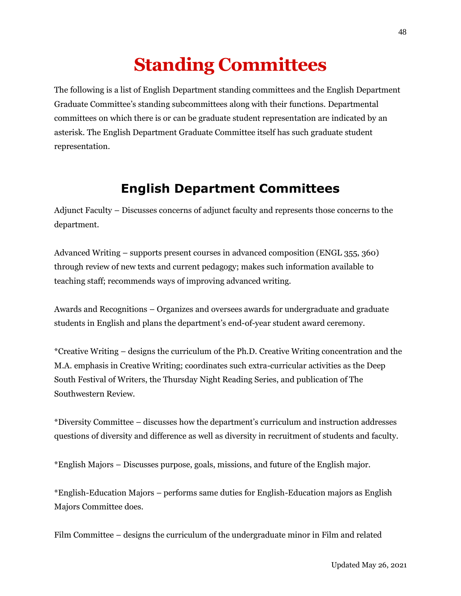# **Standing Committees**

<span id="page-51-0"></span>The following is a list of English Department standing committees and the English Department Graduate Committee's standing subcommittees along with their functions. Departmental committees on which there is or can be graduate student representation are indicated by an asterisk. The English Department Graduate Committee itself has such graduate student representation.

## **English Department Committees**

<span id="page-51-1"></span>Adjunct Faculty – Discusses concerns of adjunct faculty and represents those concerns to the department.

Advanced Writing – supports present courses in advanced composition (ENGL 355, 360) through review of new texts and current pedagogy; makes such information available to teaching staff; recommends ways of improving advanced writing.

Awards and Recognitions – Organizes and oversees awards for undergraduate and graduate students in English and plans the department's end-of-year student award ceremony.

\*Creative Writing – designs the curriculum of the Ph.D. Creative Writing concentration and the M.A. emphasis in Creative Writing; coordinates such extra-curricular activities as the Deep South Festival of Writers, the Thursday Night Reading Series, and publication of The Southwestern Review.

\*Diversity Committee – discusses how the department's curriculum and instruction addresses questions of diversity and difference as well as diversity in recruitment of students and faculty.

\*English Majors – Discusses purpose, goals, missions, and future of the English major.

\*English-Education Majors – performs same duties for English-Education majors as English Majors Committee does.

Film Committee – designs the curriculum of the undergraduate minor in Film and related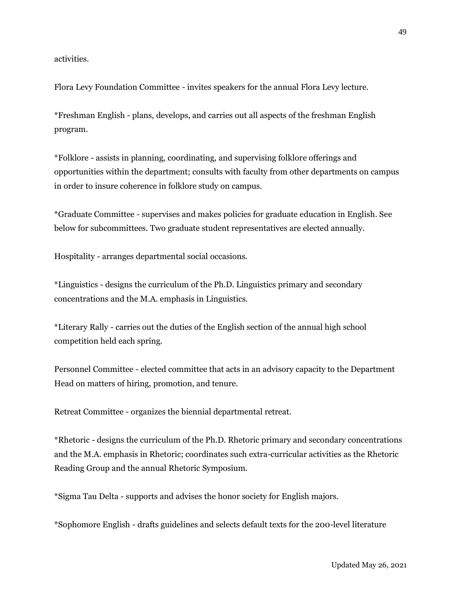activities.

Flora Levy Foundation Committee - invites speakers for the annual Flora Levy lecture.

\*Freshman English - plans, develops, and carries out all aspects of the freshman English program.

\*Folklore - assists in planning, coordinating, and supervising folklore offerings and opportunities within the department; consults with faculty from other departments on campus in order to insure coherence in folklore study on campus.

\*Graduate Committee - supervises and makes policies for graduate education in English. See below for subcommittees. Two graduate student representatives are elected annually.

Hospitality - arranges departmental social occasions.

\*Linguistics - designs the curriculum of the Ph.D. Linguistics primary and secondary concentrations and the M.A. emphasis in Linguistics.

\*Literary Rally - carries out the duties of the English section of the annual high school competition held each spring.

Personnel Committee - elected committee that acts in an advisory capacity to the Department Head on matters of hiring, promotion, and tenure.

Retreat Committee - organizes the biennial departmental retreat.

\*Rhetoric - designs the curriculum of the Ph.D. Rhetoric primary and secondary concentrations and the M.A. emphasis in Rhetoric; coordinates such extra-curricular activities as the Rhetoric Reading Group and the annual Rhetoric Symposium.

\*Sigma Tau Delta - supports and advises the honor society for English majors.

\*Sophomore English - drafts guidelines and selects default texts for the 200-level literature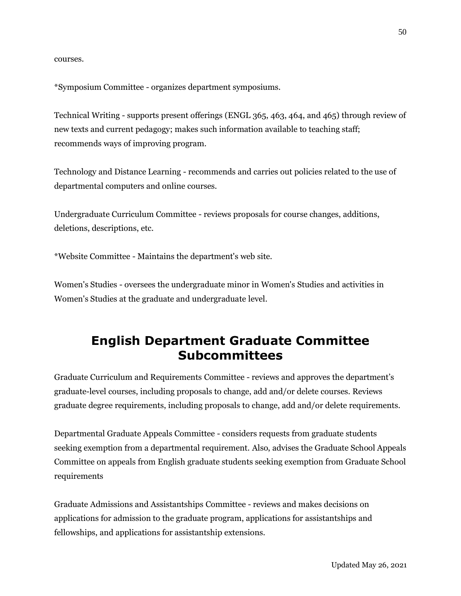courses.

\*Symposium Committee - organizes department symposiums.

Technical Writing - supports present offerings (ENGL 365, 463, 464, and 465) through review of new texts and current pedagogy; makes such information available to teaching staff; recommends ways of improving program.

Technology and Distance Learning - recommends and carries out policies related to the use of departmental computers and online courses.

Undergraduate Curriculum Committee - reviews proposals for course changes, additions, deletions, descriptions, etc.

\*Website Committee - Maintains the department's web site.

Women's Studies - oversees the undergraduate minor in Women's Studies and activities in Women's Studies at the graduate and undergraduate level.

## <span id="page-53-0"></span>**English Department Graduate Committee Subcommittees**

Graduate Curriculum and Requirements Committee - reviews and approves the department's graduate-level courses, including proposals to change, add and/or delete courses. Reviews graduate degree requirements, including proposals to change, add and/or delete requirements.

Departmental Graduate Appeals Committee - considers requests from graduate students seeking exemption from a departmental requirement. Also, advises the Graduate School Appeals Committee on appeals from English graduate students seeking exemption from Graduate School requirements

Graduate Admissions and Assistantships Committee - reviews and makes decisions on applications for admission to the graduate program, applications for assistantships and fellowships, and applications for assistantship extensions.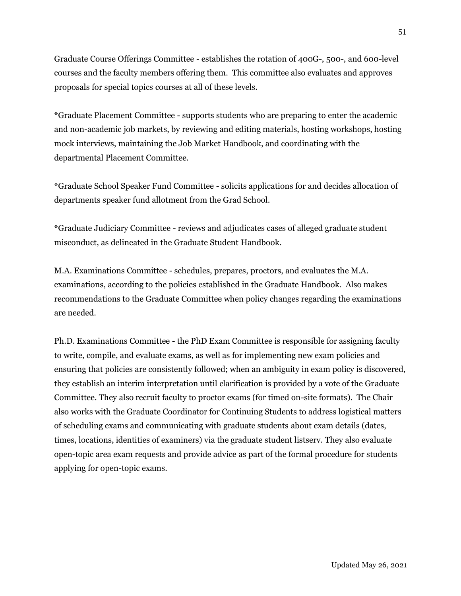Graduate Course Offerings Committee - establishes the rotation of 400G-, 500-, and 600-level courses and the faculty members offering them. This committee also evaluates and approves proposals for special topics courses at all of these levels.

\*Graduate Placement Committee - supports students who are preparing to enter the academic and non-academic job markets, by reviewing and editing materials, hosting workshops, hosting mock interviews, maintaining the Job Market Handbook, and coordinating with the departmental Placement Committee.

\*Graduate School Speaker Fund Committee - solicits applications for and decides allocation of departments speaker fund allotment from the Grad School.

\*Graduate Judiciary Committee - reviews and adjudicates cases of alleged graduate student misconduct, as delineated in the Graduate Student Handbook.

M.A. Examinations Committee - schedules, prepares, proctors, and evaluates the M.A. examinations, according to the policies established in the Graduate Handbook. Also makes recommendations to the Graduate Committee when policy changes regarding the examinations are needed.

Ph.D. Examinations Committee - the PhD Exam Committee is responsible for assigning faculty to write, compile, and evaluate exams, as well as for implementing new exam policies and ensuring that policies are consistently followed; when an ambiguity in exam policy is discovered, they establish an interim interpretation until clarification is provided by a vote of the Graduate Committee. They also recruit faculty to proctor exams (for timed on-site formats). The Chair also works with the Graduate Coordinator for Continuing Students to address logistical matters of scheduling exams and communicating with graduate students about exam details (dates, times, locations, identities of examiners) via the graduate student listserv. They also evaluate open-topic area exam requests and provide advice as part of the formal procedure for students applying for open-topic exams.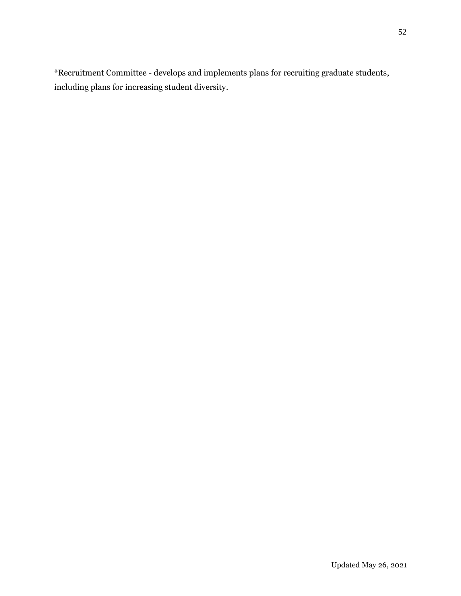\*Recruitment Committee - develops and implements plans for recruiting graduate students, including plans for increasing student diversity.